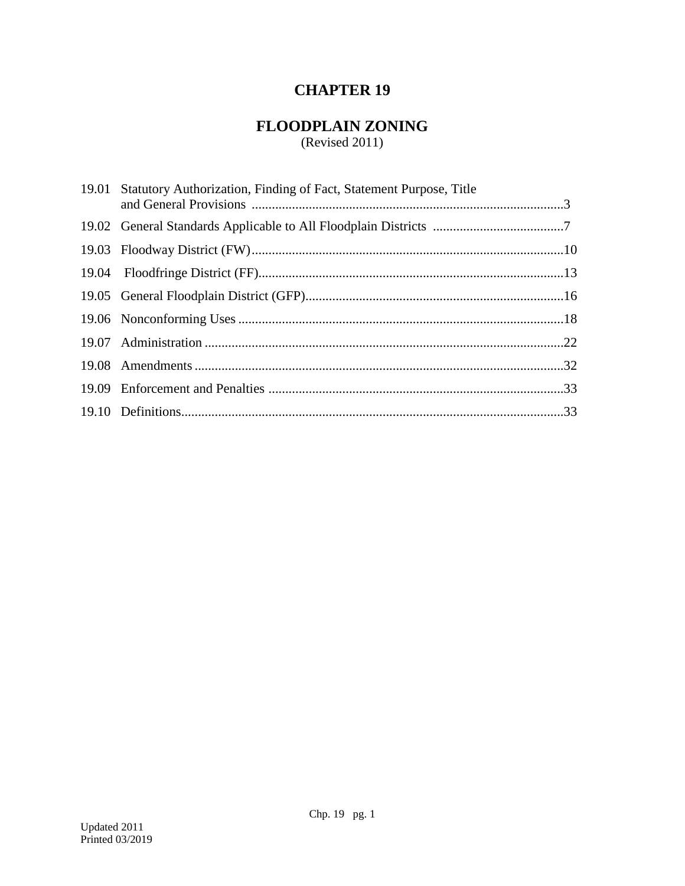# **CHAPTER 19**

# **FLOODPLAIN ZONING**

 $(Revised 2011)$ 

| 19.01 Statutory Authorization, Finding of Fact, Statement Purpose, Title |  |
|--------------------------------------------------------------------------|--|
|                                                                          |  |
|                                                                          |  |
|                                                                          |  |
|                                                                          |  |
|                                                                          |  |
|                                                                          |  |
|                                                                          |  |
|                                                                          |  |
|                                                                          |  |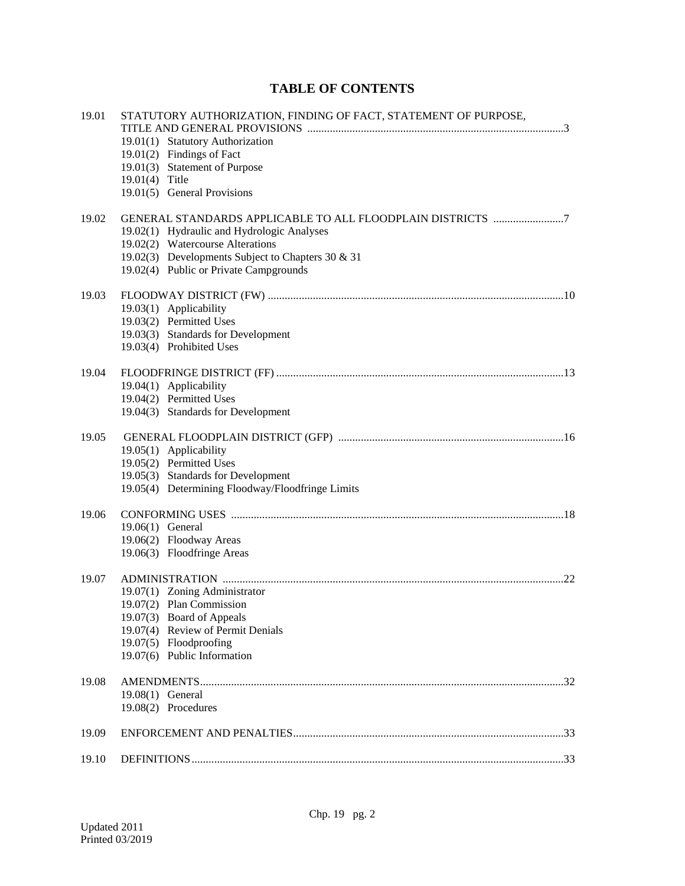# **TABLE OF CONTENTS**

| 19.01 | STATUTORY AUTHORIZATION, FINDING OF FACT, STATEMENT OF PURPOSE,                       |
|-------|---------------------------------------------------------------------------------------|
|       | 19.01(1) Statutory Authorization                                                      |
|       | 19.01(2) Findings of Fact                                                             |
|       | 19.01(3) Statement of Purpose                                                         |
|       | 19.01(4) Title                                                                        |
|       | 19.01(5) General Provisions                                                           |
| 19.02 | GENERAL STANDARDS APPLICABLE TO ALL FLOODPLAIN DISTRICTS 7                            |
|       | 19.02(1) Hydraulic and Hydrologic Analyses                                            |
|       | 19.02(2) Watercourse Alterations<br>19.02(3) Developments Subject to Chapters 30 & 31 |
|       | 19.02(4) Public or Private Campgrounds                                                |
|       |                                                                                       |
| 19.03 |                                                                                       |
|       | 19.03(1) Applicability                                                                |
|       | 19.03(2) Permitted Uses<br>19.03(3) Standards for Development                         |
|       | 19.03(4) Prohibited Uses                                                              |
| 19.04 |                                                                                       |
|       | 19.04(1) Applicability                                                                |
|       | 19.04(2) Permitted Uses                                                               |
|       | 19.04(3) Standards for Development                                                    |
| 19.05 |                                                                                       |
|       | 19.05(1) Applicability                                                                |
|       | 19.05(2) Permitted Uses                                                               |
|       | 19.05(3) Standards for Development                                                    |
|       | 19.05(4) Determining Floodway/Floodfringe Limits                                      |
| 19.06 |                                                                                       |
|       | 19.06(1) General                                                                      |
|       | 19.06(2) Floodway Areas                                                               |
|       | 19.06(3) Floodfringe Areas                                                            |
| 19.07 |                                                                                       |
|       | 19.07(1) Zoning Administrator                                                         |
|       | 19.07(2) Plan Commission                                                              |
|       | 19.07(3) Board of Appeals<br>19.07(4) Review of Permit Denials                        |
|       | 19.07(5) Floodproofing                                                                |
|       | 19.07(6) Public Information                                                           |
| 19.08 |                                                                                       |
|       | 19.08(1) General                                                                      |
|       | 19.08(2) Procedures                                                                   |
| 19.09 |                                                                                       |
| 19.10 |                                                                                       |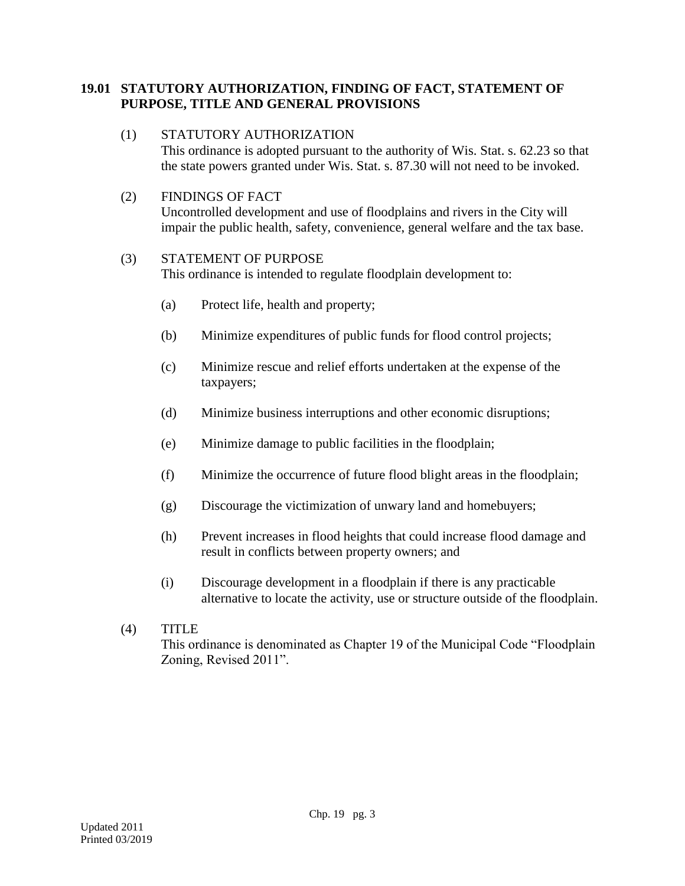# **19.01 STATUTORY AUTHORIZATION, FINDING OF FACT, STATEMENT OF PURPOSE, TITLE AND GENERAL PROVISIONS**

### (1) STATUTORY AUTHORIZATION

This ordinance is adopted pursuant to the authority of Wis. Stat. s. 62.23 so that the state powers granted under Wis. Stat. s. 87.30 will not need to be invoked.

### (2) FINDINGS OF FACT

Uncontrolled development and use of floodplains and rivers in the City will impair the public health, safety, convenience, general welfare and the tax base.

### (3) STATEMENT OF PURPOSE

This ordinance is intended to regulate floodplain development to:

- (a) Protect life, health and property;
- (b) Minimize expenditures of public funds for flood control projects;
- (c) Minimize rescue and relief efforts undertaken at the expense of the taxpayers;
- (d) Minimize business interruptions and other economic disruptions;
- (e) Minimize damage to public facilities in the floodplain;
- (f) Minimize the occurrence of future flood blight areas in the floodplain;
- (g) Discourage the victimization of unwary land and homebuyers;
- (h) Prevent increases in flood heights that could increase flood damage and result in conflicts between property owners; and
- (i) Discourage development in a floodplain if there is any practicable alternative to locate the activity, use or structure outside of the floodplain.
- (4) TITLE This ordinance is denominated as Chapter 19 of the Municipal Code "Floodplain Zoning, Revised 2011".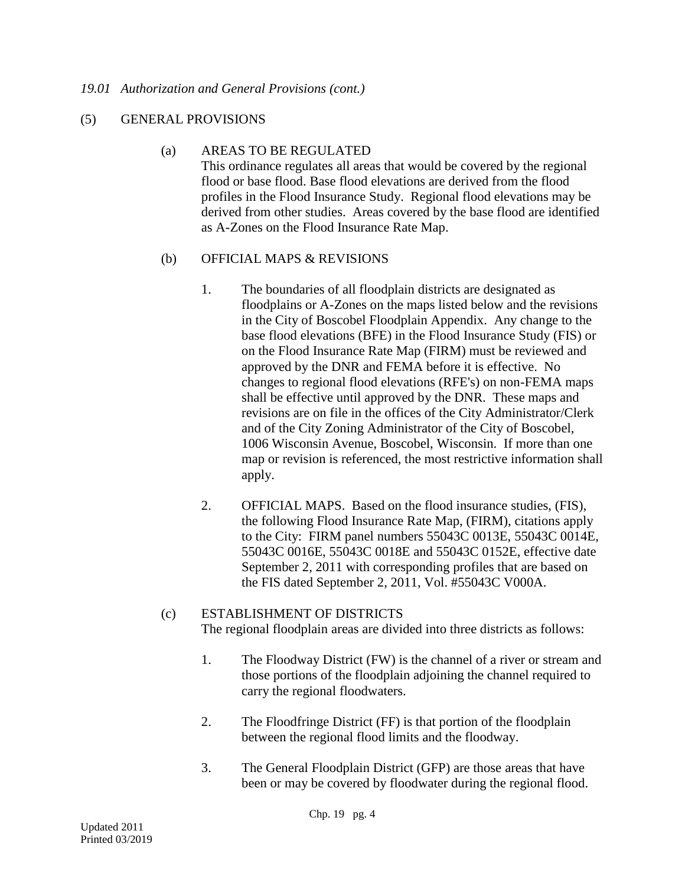#### *19.01 Authorization and General Provisions (cont.)*

### (5) GENERAL PROVISIONS

#### (a) AREAS TO BE REGULATED

This ordinance regulates all areas that would be covered by the regional flood or base flood. Base flood elevations are derived from the flood profiles in the Flood Insurance Study. Regional flood elevations may be derived from other studies. Areas covered by the base flood are identified as A-Zones on the Flood Insurance Rate Map.

### (b) OFFICIAL MAPS & REVISIONS

- 1. The boundaries of all floodplain districts are designated as floodplains or A-Zones on the maps listed below and the revisions in the City of Boscobel Floodplain Appendix. Any change to the base flood elevations (BFE) in the Flood Insurance Study (FIS) or on the Flood Insurance Rate Map (FIRM) must be reviewed and approved by the DNR and FEMA before it is effective. No changes to regional flood elevations (RFE's) on non-FEMA maps shall be effective until approved by the DNR. These maps and revisions are on file in the offices of the City Administrator/Clerk and of the City Zoning Administrator of the City of Boscobel, 1006 Wisconsin Avenue, Boscobel, Wisconsin. If more than one map or revision is referenced, the most restrictive information shall apply.
- 2. OFFICIAL MAPS. Based on the flood insurance studies, (FIS), the following Flood Insurance Rate Map, (FIRM), citations apply to the City: FIRM panel numbers 55043C 0013E, 55043C 0014E, 55043C 0016E, 55043C 0018E and 55043C 0152E, effective date September 2, 2011 with corresponding profiles that are based on the FIS dated September 2, 2011, Vol. #55043C V000A.

#### (c) ESTABLISHMENT OF DISTRICTS

The regional floodplain areas are divided into three districts as follows:

- 1. The Floodway District (FW) is the channel of a river or stream and those portions of the floodplain adjoining the channel required to carry the regional floodwaters.
- 2. The Floodfringe District (FF) is that portion of the floodplain between the regional flood limits and the floodway.
- 3. The General Floodplain District (GFP) are those areas that have been or may be covered by floodwater during the regional flood.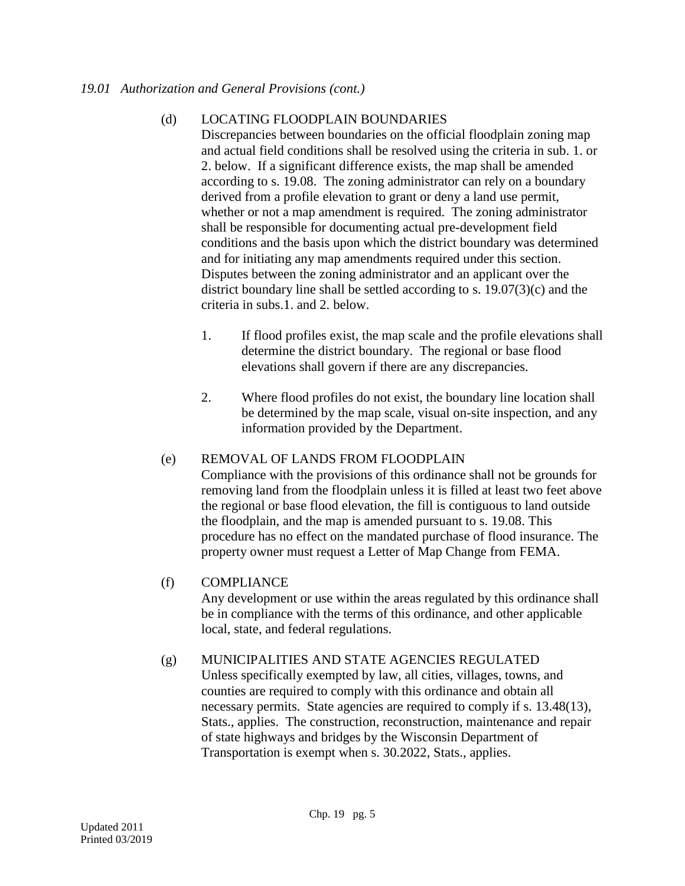### (d) LOCATING FLOODPLAIN BOUNDARIES

Discrepancies between boundaries on the official floodplain zoning map and actual field conditions shall be resolved using the criteria in sub. 1. or 2. below. If a significant difference exists, the map shall be amended according to s. 19.08. The zoning administrator can rely on a boundary derived from a profile elevation to grant or deny a land use permit, whether or not a map amendment is required. The zoning administrator shall be responsible for documenting actual pre-development field conditions and the basis upon which the district boundary was determined and for initiating any map amendments required under this section. Disputes between the zoning administrator and an applicant over the district boundary line shall be settled according to s. 19.07(3)(c) and the criteria in subs.1. and 2. below.

- 1. If flood profiles exist, the map scale and the profile elevations shall determine the district boundary. The regional or base flood elevations shall govern if there are any discrepancies.
- 2. Where flood profiles do not exist, the boundary line location shall be determined by the map scale, visual on-site inspection, and any information provided by the Department.

# (e) REMOVAL OF LANDS FROM FLOODPLAIN

Compliance with the provisions of this ordinance shall not be grounds for removing land from the floodplain unless it is filled at least two feet above the regional or base flood elevation, the fill is contiguous to land outside the floodplain, and the map is amended pursuant to s. 19.08. This procedure has no effect on the mandated purchase of flood insurance. The property owner must request a Letter of Map Change from FEMA.

# (f) COMPLIANCE

Any development or use within the areas regulated by this ordinance shall be in compliance with the terms of this ordinance, and other applicable local, state, and federal regulations.

#### (g) MUNICIPALITIES AND STATE AGENCIES REGULATED

Unless specifically exempted by law, all cities, villages, towns, and counties are required to comply with this ordinance and obtain all necessary permits. State agencies are required to comply if s. 13.48(13), Stats., applies. The construction, reconstruction, maintenance and repair of state highways and bridges by the Wisconsin Department of Transportation is exempt when s. 30.2022, Stats., applies.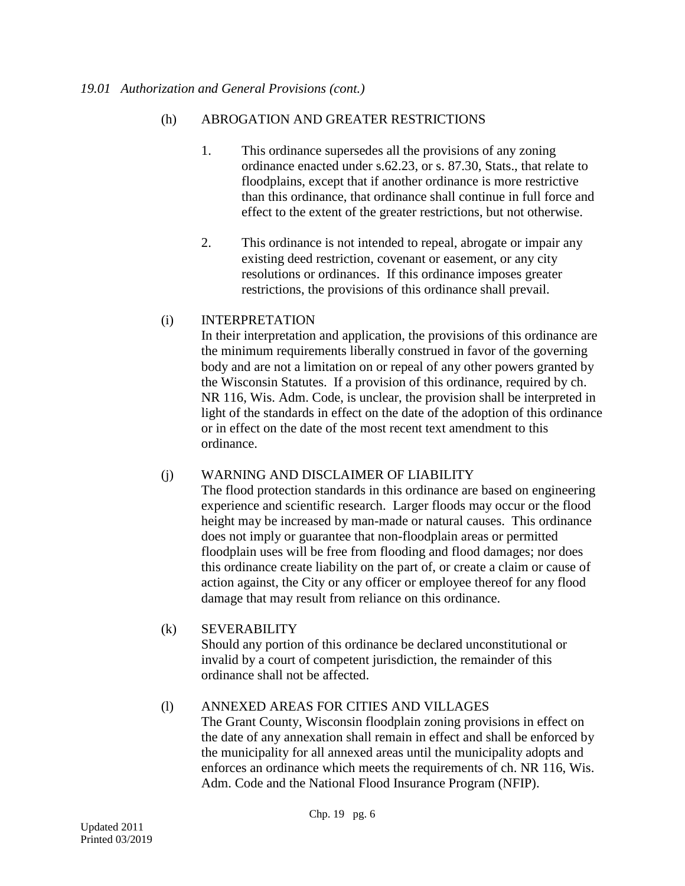# (h) ABROGATION AND GREATER RESTRICTIONS

- 1. This ordinance supersedes all the provisions of any zoning ordinance enacted under s.62.23, or s. 87.30, Stats., that relate to floodplains, except that if another ordinance is more restrictive than this ordinance, that ordinance shall continue in full force and effect to the extent of the greater restrictions, but not otherwise.
- 2. This ordinance is not intended to repeal, abrogate or impair any existing deed restriction, covenant or easement, or any city resolutions or ordinances. If this ordinance imposes greater restrictions, the provisions of this ordinance shall prevail.

# (i) INTERPRETATION

In their interpretation and application, the provisions of this ordinance are the minimum requirements liberally construed in favor of the governing body and are not a limitation on or repeal of any other powers granted by the Wisconsin Statutes. If a provision of this ordinance, required by ch. NR 116, Wis. Adm. Code, is unclear, the provision shall be interpreted in light of the standards in effect on the date of the adoption of this ordinance or in effect on the date of the most recent text amendment to this ordinance.

# (j) WARNING AND DISCLAIMER OF LIABILITY

The flood protection standards in this ordinance are based on engineering experience and scientific research. Larger floods may occur or the flood height may be increased by man-made or natural causes. This ordinance does not imply or guarantee that non-floodplain areas or permitted floodplain uses will be free from flooding and flood damages; nor does this ordinance create liability on the part of, or create a claim or cause of action against, the City or any officer or employee thereof for any flood damage that may result from reliance on this ordinance.

# (k) SEVERABILITY

Should any portion of this ordinance be declared unconstitutional or invalid by a court of competent jurisdiction, the remainder of this ordinance shall not be affected.

# (l) ANNEXED AREAS FOR CITIES AND VILLAGES

The Grant County, Wisconsin floodplain zoning provisions in effect on the date of any annexation shall remain in effect and shall be enforced by the municipality for all annexed areas until the municipality adopts and enforces an ordinance which meets the requirements of ch. NR 116, Wis. Adm. Code and the National Flood Insurance Program (NFIP).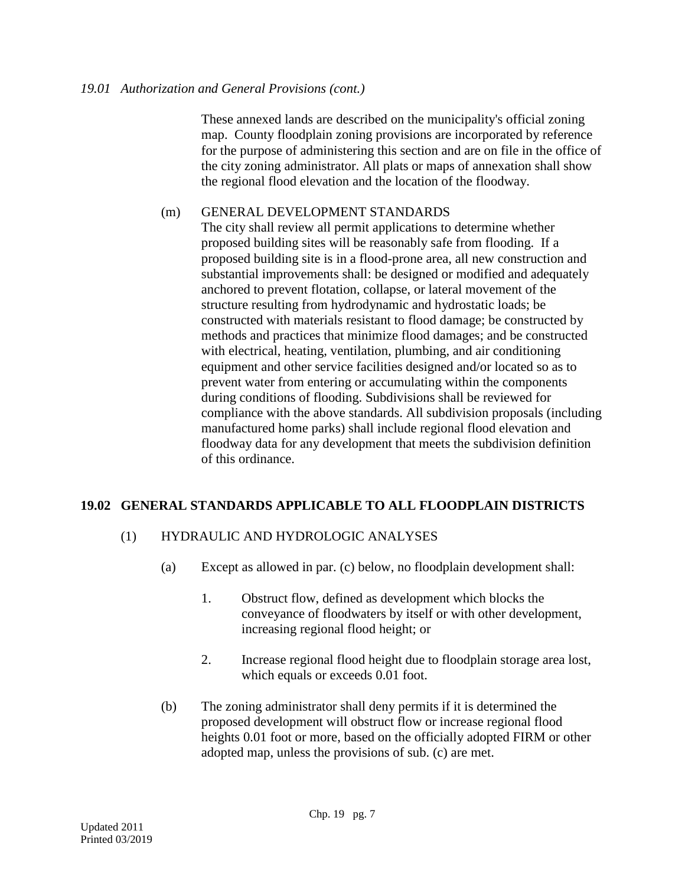These annexed lands are described on the municipality's official zoning map. County floodplain zoning provisions are incorporated by reference for the purpose of administering this section and are on file in the office of the city zoning administrator. All plats or maps of annexation shall show the regional flood elevation and the location of the floodway.

# (m) GENERAL DEVELOPMENT STANDARDS

The city shall review all permit applications to determine whether proposed building sites will be reasonably safe from flooding. If a proposed building site is in a flood-prone area, all new construction and substantial improvements shall: be designed or modified and adequately anchored to prevent flotation, collapse, or lateral movement of the structure resulting from hydrodynamic and hydrostatic loads; be constructed with materials resistant to flood damage; be constructed by methods and practices that minimize flood damages; and be constructed with electrical, heating, ventilation, plumbing, and air conditioning equipment and other service facilities designed and/or located so as to prevent water from entering or accumulating within the components during conditions of flooding. Subdivisions shall be reviewed for compliance with the above standards. All subdivision proposals (including manufactured home parks) shall include regional flood elevation and floodway data for any development that meets the subdivision definition of this ordinance.

# **19.02 GENERAL STANDARDS APPLICABLE TO ALL FLOODPLAIN DISTRICTS**

# (1) HYDRAULIC AND HYDROLOGIC ANALYSES

- (a) Except as allowed in par. (c) below, no floodplain development shall:
	- 1. Obstruct flow, defined as development which blocks the conveyance of floodwaters by itself or with other development, increasing regional flood height; or
	- 2. Increase regional flood height due to floodplain storage area lost, which equals or exceeds 0.01 foot.
- (b) The zoning administrator shall deny permits if it is determined the proposed development will obstruct flow or increase regional flood heights 0.01 foot or more, based on the officially adopted FIRM or other adopted map, unless the provisions of sub. (c) are met.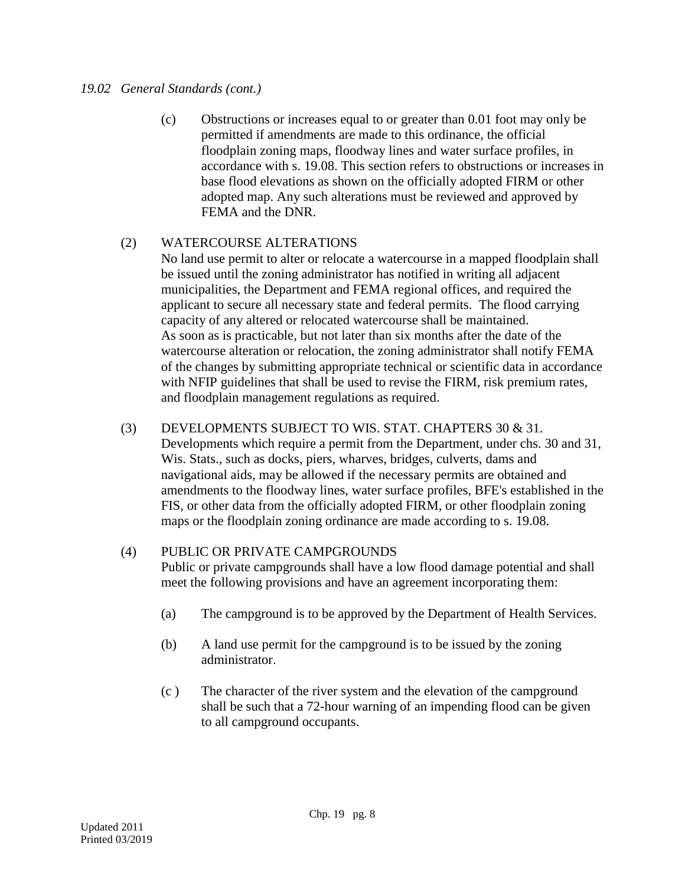### *19.02 General Standards (cont.)*

(c) Obstructions or increases equal to or greater than 0.01 foot may only be permitted if amendments are made to this ordinance, the official floodplain zoning maps, floodway lines and water surface profiles, in accordance with s. 19.08. This section refers to obstructions or increases in base flood elevations as shown on the officially adopted FIRM or other adopted map. Any such alterations must be reviewed and approved by FEMA and the DNR.

# (2) WATERCOURSE ALTERATIONS

No land use permit to alter or relocate a watercourse in a mapped floodplain shall be issued until the zoning administrator has notified in writing all adjacent municipalities, the Department and FEMA regional offices, and required the applicant to secure all necessary state and federal permits. The flood carrying capacity of any altered or relocated watercourse shall be maintained. As soon as is practicable, but not later than six months after the date of the watercourse alteration or relocation, the zoning administrator shall notify FEMA of the changes by submitting appropriate technical or scientific data in accordance with NFIP guidelines that shall be used to revise the FIRM, risk premium rates, and floodplain management regulations as required.

# (3) DEVELOPMENTS SUBJECT TO WIS. STAT. CHAPTERS 30 & 31.

Developments which require a permit from the Department, under chs. 30 and 31, Wis. Stats., such as docks, piers, wharves, bridges, culverts, dams and navigational aids, may be allowed if the necessary permits are obtained and amendments to the floodway lines, water surface profiles, BFE's established in the FIS, or other data from the officially adopted FIRM, or other floodplain zoning maps or the floodplain zoning ordinance are made according to s. 19.08.

# (4) PUBLIC OR PRIVATE CAMPGROUNDS

Public or private campgrounds shall have a low flood damage potential and shall meet the following provisions and have an agreement incorporating them:

- (a) The campground is to be approved by the Department of Health Services.
- (b) A land use permit for the campground is to be issued by the zoning administrator.
- (c ) The character of the river system and the elevation of the campground shall be such that a 72-hour warning of an impending flood can be given to all campground occupants.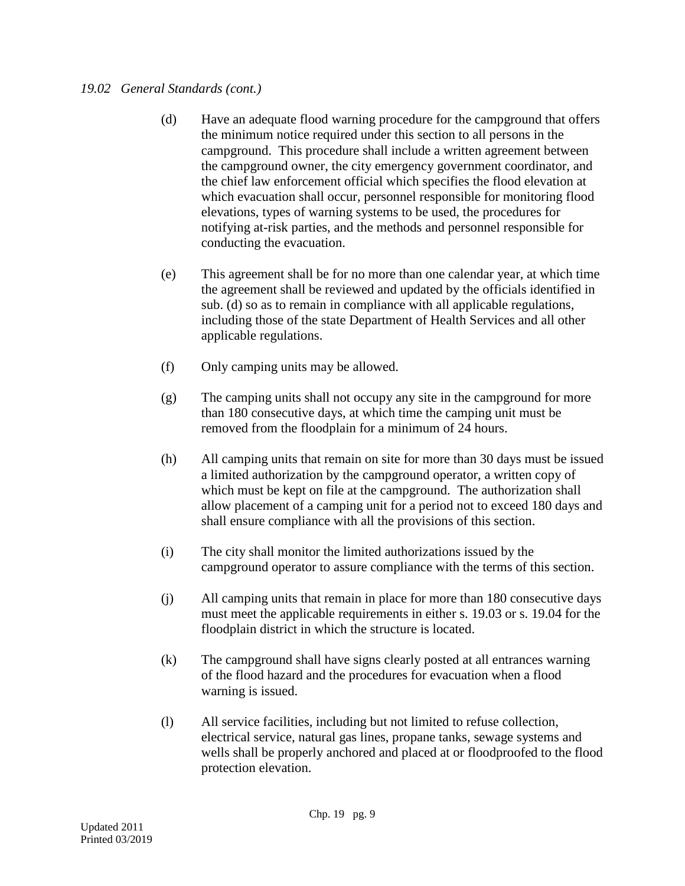### *19.02 General Standards (cont.)*

- (d) Have an adequate flood warning procedure for the campground that offers the minimum notice required under this section to all persons in the campground. This procedure shall include a written agreement between the campground owner, the city emergency government coordinator, and the chief law enforcement official which specifies the flood elevation at which evacuation shall occur, personnel responsible for monitoring flood elevations, types of warning systems to be used, the procedures for notifying at-risk parties, and the methods and personnel responsible for conducting the evacuation.
- (e) This agreement shall be for no more than one calendar year, at which time the agreement shall be reviewed and updated by the officials identified in sub. (d) so as to remain in compliance with all applicable regulations, including those of the state Department of Health Services and all other applicable regulations.
- (f) Only camping units may be allowed.
- (g) The camping units shall not occupy any site in the campground for more than 180 consecutive days, at which time the camping unit must be removed from the floodplain for a minimum of 24 hours.
- (h) All camping units that remain on site for more than 30 days must be issued a limited authorization by the campground operator, a written copy of which must be kept on file at the campground. The authorization shall allow placement of a camping unit for a period not to exceed 180 days and shall ensure compliance with all the provisions of this section.
- (i) The city shall monitor the limited authorizations issued by the campground operator to assure compliance with the terms of this section.
- (j) All camping units that remain in place for more than 180 consecutive days must meet the applicable requirements in either s. 19.03 or s. 19.04 for the floodplain district in which the structure is located.
- (k) The campground shall have signs clearly posted at all entrances warning of the flood hazard and the procedures for evacuation when a flood warning is issued.
- (l) All service facilities, including but not limited to refuse collection, electrical service, natural gas lines, propane tanks, sewage systems and wells shall be properly anchored and placed at or floodproofed to the flood protection elevation.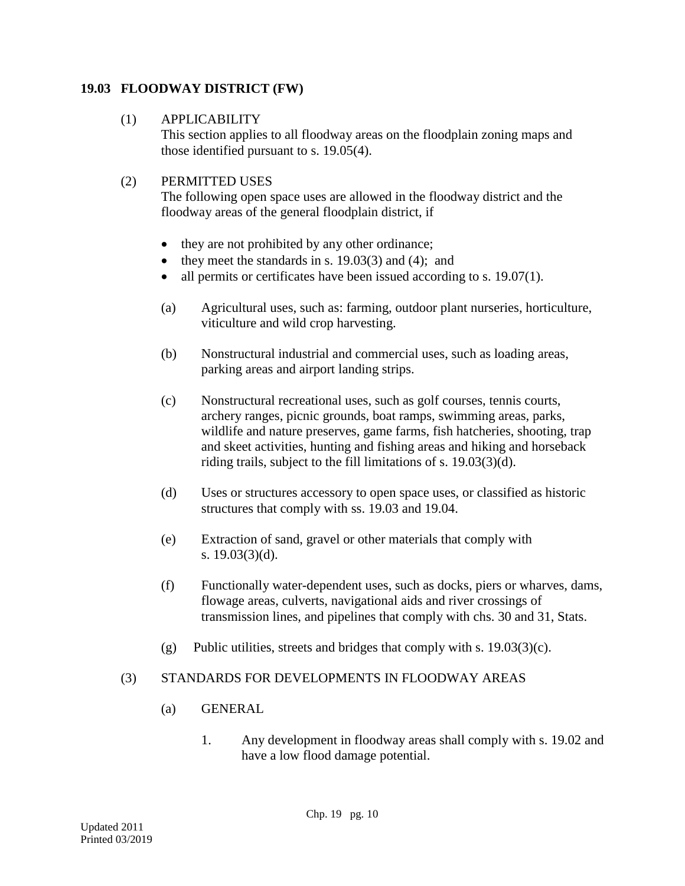# **19.03 FLOODWAY DISTRICT (FW)**

# (1) APPLICABILITY

This section applies to all floodway areas on the floodplain zoning maps and those identified pursuant to s. 19.05(4).

# (2) PERMITTED USES

The following open space uses are allowed in the floodway district and the floodway areas of the general floodplain district, if

- they are not prohibited by any other ordinance;
- they meet the standards in s.  $19.03(3)$  and  $(4)$ ; and
- all permits or certificates have been issued according to s. 19.07(1).
- (a) Agricultural uses, such as: farming, outdoor plant nurseries, horticulture, viticulture and wild crop harvesting.
- (b) Nonstructural industrial and commercial uses, such as loading areas, parking areas and airport landing strips.
- (c) Nonstructural recreational uses, such as golf courses, tennis courts, archery ranges, picnic grounds, boat ramps, swimming areas, parks, wildlife and nature preserves, game farms, fish hatcheries, shooting, trap and skeet activities, hunting and fishing areas and hiking and horseback riding trails, subject to the fill limitations of s. 19.03(3)(d).
- (d) Uses or structures accessory to open space uses, or classified as historic structures that comply with ss. 19.03 and 19.04.
- (e) Extraction of sand, gravel or other materials that comply with s. 19.03(3)(d).
- (f) Functionally water-dependent uses, such as docks, piers or wharves, dams, flowage areas, culverts, navigational aids and river crossings of transmission lines, and pipelines that comply with chs. 30 and 31, Stats.
- (g) Public utilities, streets and bridges that comply with s. 19.03(3)(c).

# (3) STANDARDS FOR DEVELOPMENTS IN FLOODWAY AREAS

- (a) GENERAL
	- 1. Any development in floodway areas shall comply with s. 19.02 and have a low flood damage potential.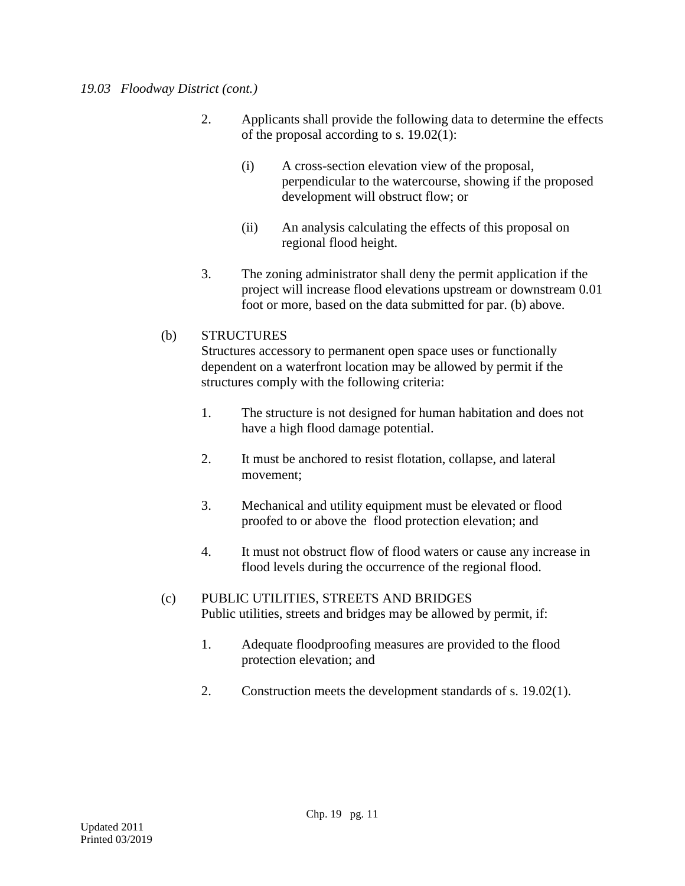### *19.03 Floodway District (cont.)*

- 2. Applicants shall provide the following data to determine the effects of the proposal according to s. 19.02(1):
	- (i) A cross-section elevation view of the proposal, perpendicular to the watercourse, showing if the proposed development will obstruct flow; or
	- (ii) An analysis calculating the effects of this proposal on regional flood height.
- 3. The zoning administrator shall deny the permit application if the project will increase flood elevations upstream or downstream 0.01 foot or more, based on the data submitted for par. (b) above.

# (b) STRUCTURES

Structures accessory to permanent open space uses or functionally dependent on a waterfront location may be allowed by permit if the structures comply with the following criteria:

- 1. The structure is not designed for human habitation and does not have a high flood damage potential.
- 2. It must be anchored to resist flotation, collapse, and lateral movement;
- 3. Mechanical and utility equipment must be elevated or flood proofed to or above the flood protection elevation; and
- 4. It must not obstruct flow of flood waters or cause any increase in flood levels during the occurrence of the regional flood.
- (c) PUBLIC UTILITIES, STREETS AND BRIDGES Public utilities, streets and bridges may be allowed by permit, if:
	- 1. Adequate floodproofing measures are provided to the flood protection elevation; and
	- 2. Construction meets the development standards of s. 19.02(1).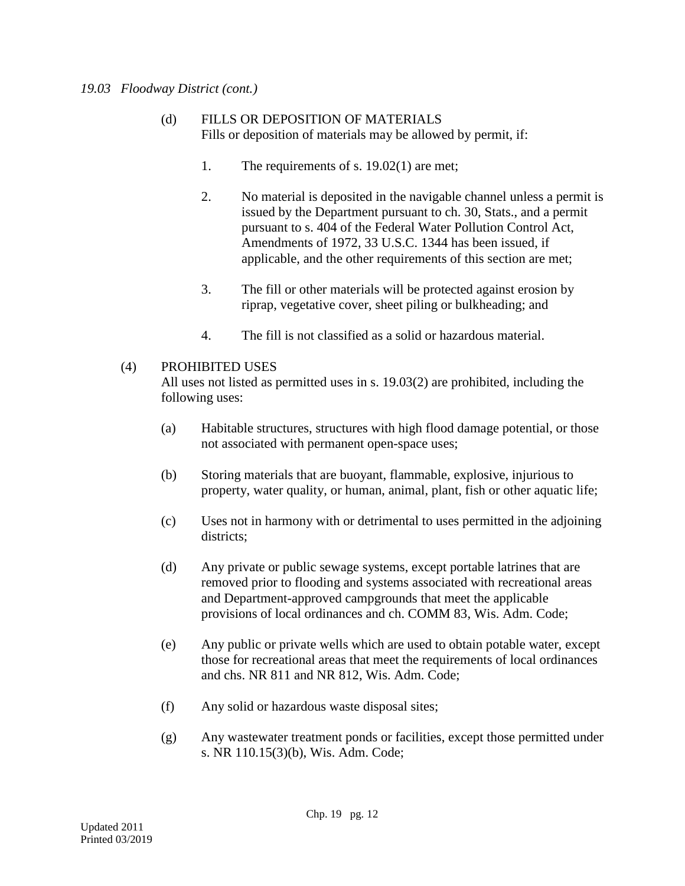### *19.03 Floodway District (cont.)*

- (d) FILLS OR DEPOSITION OF MATERIALS Fills or deposition of materials may be allowed by permit, if:
	- 1. The requirements of s. 19.02(1) are met;
	- 2. No material is deposited in the navigable channel unless a permit is issued by the Department pursuant to ch. 30, Stats., and a permit pursuant to s. 404 of the Federal Water Pollution Control Act, Amendments of 1972, 33 U.S.C. 1344 has been issued, if applicable, and the other requirements of this section are met;
	- 3. The fill or other materials will be protected against erosion by riprap, vegetative cover, sheet piling or bulkheading; and
	- 4. The fill is not classified as a solid or hazardous material.

# (4) PROHIBITED USES

All uses not listed as permitted uses in s. 19.03(2) are prohibited, including the following uses:

- (a) Habitable structures, structures with high flood damage potential, or those not associated with permanent open-space uses;
- (b) Storing materials that are buoyant, flammable, explosive, injurious to property, water quality, or human, animal, plant, fish or other aquatic life;
- (c) Uses not in harmony with or detrimental to uses permitted in the adjoining districts;
- (d) Any private or public sewage systems, except portable latrines that are removed prior to flooding and systems associated with recreational areas and Department-approved campgrounds that meet the applicable provisions of local ordinances and ch. COMM 83, Wis. Adm. Code;
- (e) Any public or private wells which are used to obtain potable water, except those for recreational areas that meet the requirements of local ordinances and chs. NR 811 and NR 812, Wis. Adm. Code;
- (f) Any solid or hazardous waste disposal sites;
- (g) Any wastewater treatment ponds or facilities, except those permitted under s. NR 110.15(3)(b), Wis. Adm. Code;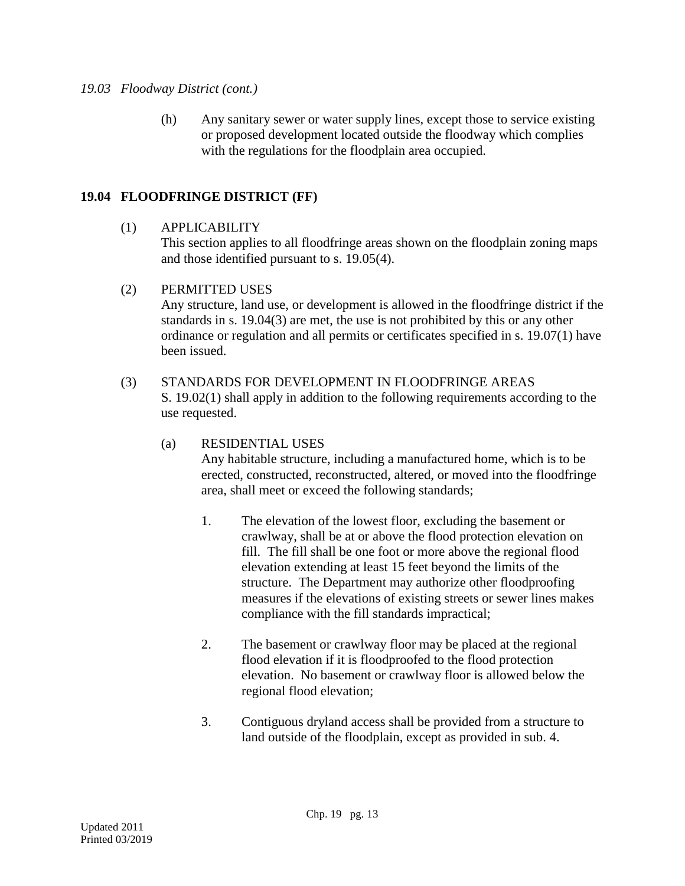### *19.03 Floodway District (cont.)*

(h) Any sanitary sewer or water supply lines, except those to service existing or proposed development located outside the floodway which complies with the regulations for the floodplain area occupied.

# **19.04 FLOODFRINGE DISTRICT (FF)**

(1) APPLICABILITY

This section applies to all floodfringe areas shown on the floodplain zoning maps and those identified pursuant to s. 19.05(4).

(2) PERMITTED USES

Any structure, land use, or development is allowed in the floodfringe district if the standards in s. 19.04(3) are met, the use is not prohibited by this or any other ordinance or regulation and all permits or certificates specified in s. 19.07(1) have been issued.

### (3) STANDARDS FOR DEVELOPMENT IN FLOODFRINGE AREAS

S. 19.02(1) shall apply in addition to the following requirements according to the use requested.

# (a) RESIDENTIAL USES

Any habitable structure, including a manufactured home, which is to be erected, constructed, reconstructed, altered, or moved into the floodfringe area, shall meet or exceed the following standards;

- 1. The elevation of the lowest floor, excluding the basement or crawlway, shall be at or above the flood protection elevation on fill. The fill shall be one foot or more above the regional flood elevation extending at least 15 feet beyond the limits of the structure. The Department may authorize other floodproofing measures if the elevations of existing streets or sewer lines makes compliance with the fill standards impractical;
- 2. The basement or crawlway floor may be placed at the regional flood elevation if it is floodproofed to the flood protection elevation. No basement or crawlway floor is allowed below the regional flood elevation;
- 3. Contiguous dryland access shall be provided from a structure to land outside of the floodplain, except as provided in sub. 4.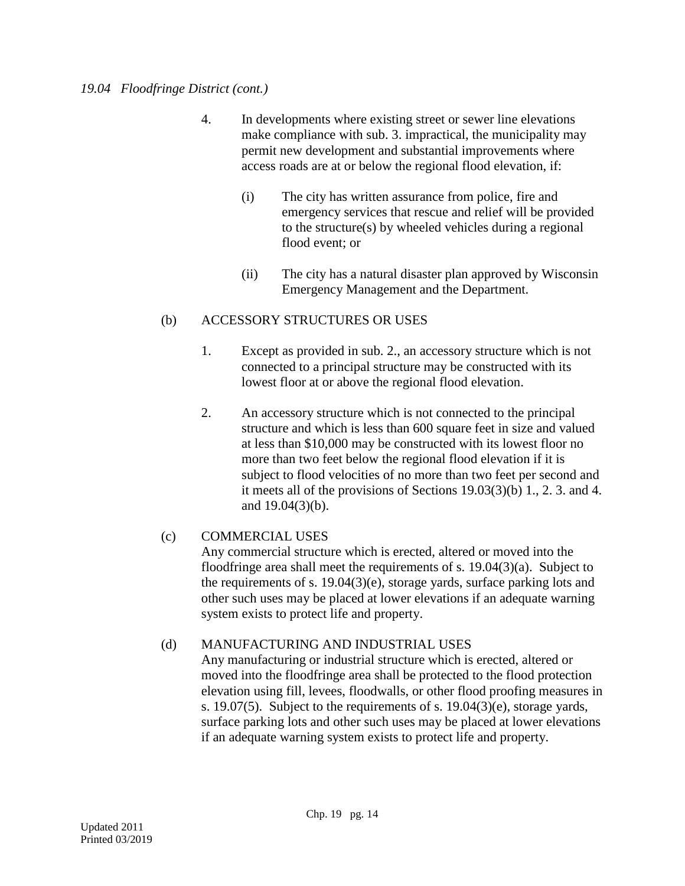### *19.04 Floodfringe District (cont.)*

- 4. In developments where existing street or sewer line elevations make compliance with sub. 3. impractical, the municipality may permit new development and substantial improvements where access roads are at or below the regional flood elevation, if:
	- (i) The city has written assurance from police, fire and emergency services that rescue and relief will be provided to the structure(s) by wheeled vehicles during a regional flood event; or
	- (ii) The city has a natural disaster plan approved by Wisconsin Emergency Management and the Department.

# (b) ACCESSORY STRUCTURES OR USES

- 1. Except as provided in sub. 2., an accessory structure which is not connected to a principal structure may be constructed with its lowest floor at or above the regional flood elevation.
- 2. An accessory structure which is not connected to the principal structure and which is less than 600 square feet in size and valued at less than \$10,000 may be constructed with its lowest floor no more than two feet below the regional flood elevation if it is subject to flood velocities of no more than two feet per second and it meets all of the provisions of Sections 19.03(3)(b) 1., 2. 3. and 4. and 19.04(3)(b).

# (c) COMMERCIAL USES

Any commercial structure which is erected, altered or moved into the floodfringe area shall meet the requirements of s. 19.04(3)(a). Subject to the requirements of s. 19.04(3)(e), storage yards, surface parking lots and other such uses may be placed at lower elevations if an adequate warning system exists to protect life and property.

# (d) MANUFACTURING AND INDUSTRIAL USES

Any manufacturing or industrial structure which is erected, altered or moved into the floodfringe area shall be protected to the flood protection elevation using fill, levees, floodwalls, or other flood proofing measures in s. 19.07(5). Subject to the requirements of s. 19.04(3)(e), storage yards, surface parking lots and other such uses may be placed at lower elevations if an adequate warning system exists to protect life and property.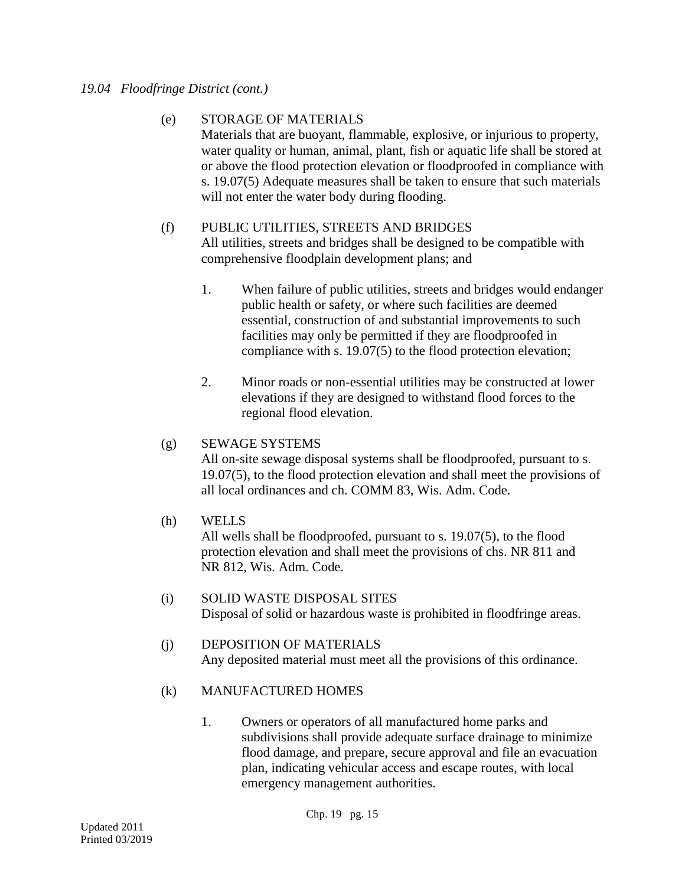### *19.04 Floodfringe District (cont.)*

### (e) STORAGE OF MATERIALS

Materials that are buoyant, flammable, explosive, or injurious to property, water quality or human, animal, plant, fish or aquatic life shall be stored at or above the flood protection elevation or floodproofed in compliance with s. 19.07(5) Adequate measures shall be taken to ensure that such materials will not enter the water body during flooding.

# (f) PUBLIC UTILITIES, STREETS AND BRIDGES All utilities, streets and bridges shall be designed to be compatible with comprehensive floodplain development plans; and

- 1. When failure of public utilities, streets and bridges would endanger public health or safety, or where such facilities are deemed essential, construction of and substantial improvements to such facilities may only be permitted if they are floodproofed in compliance with s. 19.07(5) to the flood protection elevation;
- 2. Minor roads or non-essential utilities may be constructed at lower elevations if they are designed to withstand flood forces to the regional flood elevation.

### (g) SEWAGE SYSTEMS

All on-site sewage disposal systems shall be floodproofed, pursuant to s. 19.07(5), to the flood protection elevation and shall meet the provisions of all local ordinances and ch. COMM 83, Wis. Adm. Code.

(h) WELLS

All wells shall be floodproofed, pursuant to s. 19.07(5), to the flood protection elevation and shall meet the provisions of chs. NR 811 and NR 812, Wis. Adm. Code.

- (i) SOLID WASTE DISPOSAL SITES Disposal of solid or hazardous waste is prohibited in floodfringe areas.
- (j) DEPOSITION OF MATERIALS Any deposited material must meet all the provisions of this ordinance.

# (k) MANUFACTURED HOMES

1. Owners or operators of all manufactured home parks and subdivisions shall provide adequate surface drainage to minimize flood damage, and prepare, secure approval and file an evacuation plan, indicating vehicular access and escape routes, with local emergency management authorities.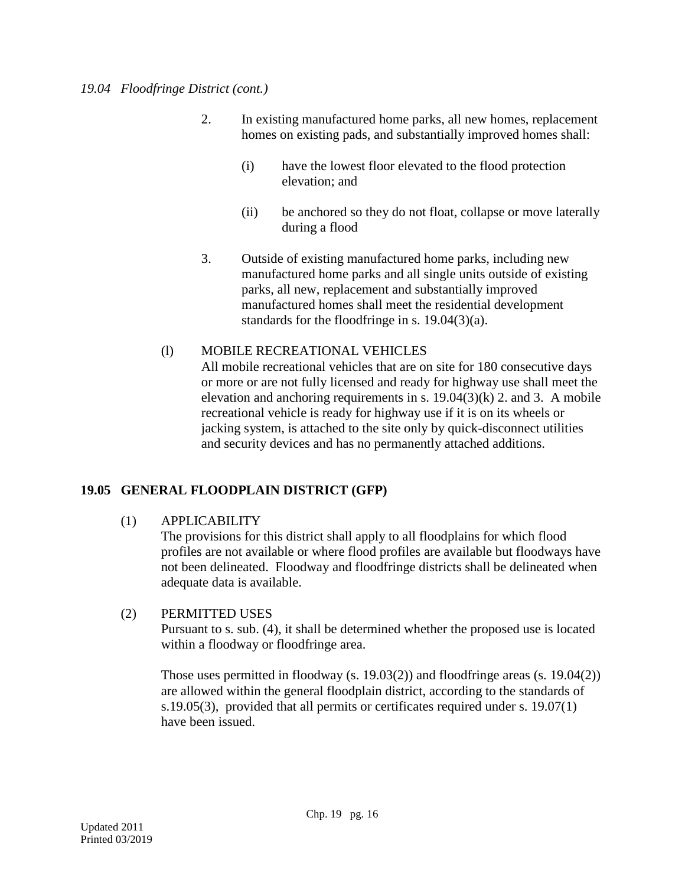- 2. In existing manufactured home parks, all new homes, replacement homes on existing pads, and substantially improved homes shall:
	- (i) have the lowest floor elevated to the flood protection elevation; and
	- (ii) be anchored so they do not float, collapse or move laterally during a flood
- 3. Outside of existing manufactured home parks, including new manufactured home parks and all single units outside of existing parks, all new, replacement and substantially improved manufactured homes shall meet the residential development standards for the floodfringe in s. 19.04(3)(a).

# (l) MOBILE RECREATIONAL VEHICLES

All mobile recreational vehicles that are on site for 180 consecutive days or more or are not fully licensed and ready for highway use shall meet the elevation and anchoring requirements in s.  $19.04(3)(k)$  2. and 3. A mobile recreational vehicle is ready for highway use if it is on its wheels or jacking system, is attached to the site only by quick-disconnect utilities and security devices and has no permanently attached additions.

# **19.05 GENERAL FLOODPLAIN DISTRICT (GFP)**

# (1) APPLICABILITY

The provisions for this district shall apply to all floodplains for which flood profiles are not available or where flood profiles are available but floodways have not been delineated. Floodway and floodfringe districts shall be delineated when adequate data is available.

# (2) PERMITTED USES

Pursuant to s. sub. (4), it shall be determined whether the proposed use is located within a floodway or floodfringe area.

Those uses permitted in floodway (s. 19.03(2)) and floodfringe areas (s. 19.04(2)) are allowed within the general floodplain district, according to the standards of s.19.05(3), provided that all permits or certificates required under s. 19.07(1) have been issued.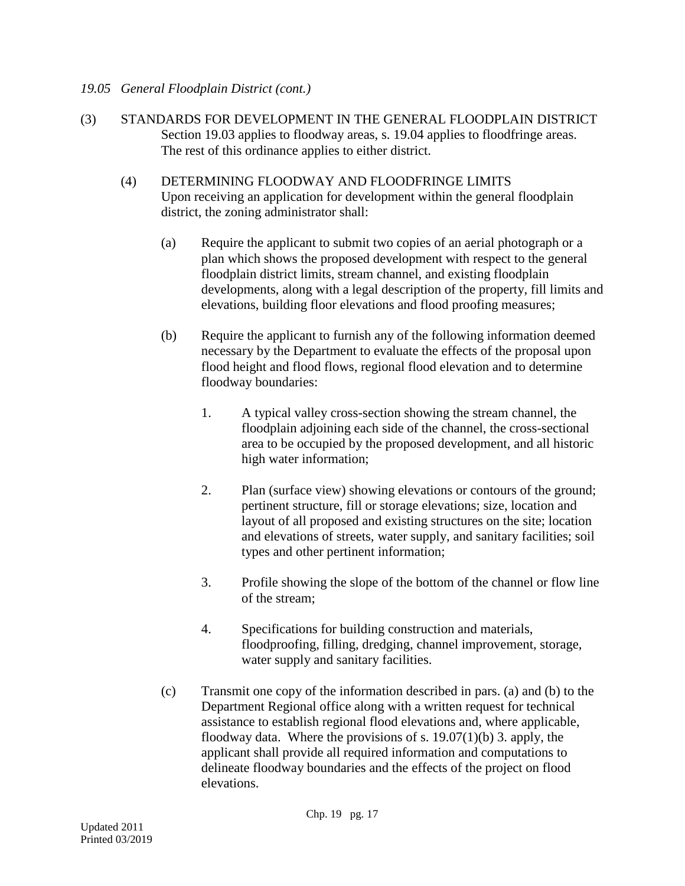# *19.05 General Floodplain District (cont.)*

- (3) STANDARDS FOR DEVELOPMENT IN THE GENERAL FLOODPLAIN DISTRICT Section 19.03 applies to floodway areas, s. 19.04 applies to floodfringe areas. The rest of this ordinance applies to either district.
	- (4) DETERMINING FLOODWAY AND FLOODFRINGE LIMITS Upon receiving an application for development within the general floodplain district, the zoning administrator shall:
		- (a) Require the applicant to submit two copies of an aerial photograph or a plan which shows the proposed development with respect to the general floodplain district limits, stream channel, and existing floodplain developments, along with a legal description of the property, fill limits and elevations, building floor elevations and flood proofing measures;
		- (b) Require the applicant to furnish any of the following information deemed necessary by the Department to evaluate the effects of the proposal upon flood height and flood flows, regional flood elevation and to determine floodway boundaries:
			- 1. A typical valley cross-section showing the stream channel, the floodplain adjoining each side of the channel, the cross-sectional area to be occupied by the proposed development, and all historic high water information;
			- 2. Plan (surface view) showing elevations or contours of the ground; pertinent structure, fill or storage elevations; size, location and layout of all proposed and existing structures on the site; location and elevations of streets, water supply, and sanitary facilities; soil types and other pertinent information;
			- 3. Profile showing the slope of the bottom of the channel or flow line of the stream;
			- 4. Specifications for building construction and materials, floodproofing, filling, dredging, channel improvement, storage, water supply and sanitary facilities.
		- (c) Transmit one copy of the information described in pars. (a) and (b) to the Department Regional office along with a written request for technical assistance to establish regional flood elevations and, where applicable, floodway data. Where the provisions of s.  $19.07(1)(b)$  3. apply, the applicant shall provide all required information and computations to delineate floodway boundaries and the effects of the project on flood elevations.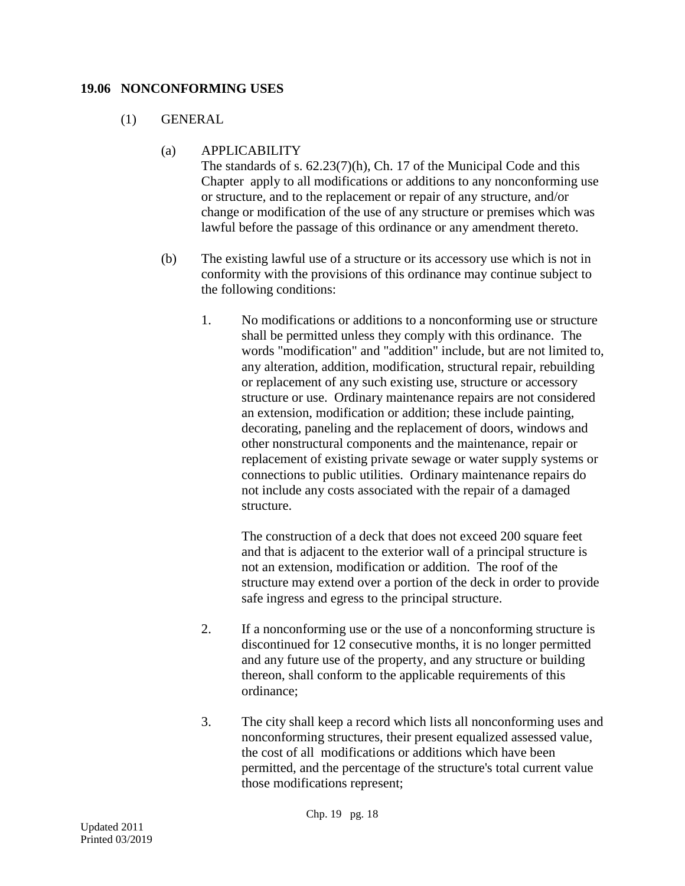#### **19.06 NONCONFORMING USES**

# (1) GENERAL

(a) APPLICABILITY

The standards of s. 62.23(7)(h), Ch. 17 of the Municipal Code and this Chapter apply to all modifications or additions to any nonconforming use or structure, and to the replacement or repair of any structure, and/or change or modification of the use of any structure or premises which was lawful before the passage of this ordinance or any amendment thereto.

- (b) The existing lawful use of a structure or its accessory use which is not in conformity with the provisions of this ordinance may continue subject to the following conditions:
	- 1. No modifications or additions to a nonconforming use or structure shall be permitted unless they comply with this ordinance. The words "modification" and "addition" include, but are not limited to, any alteration, addition, modification, structural repair, rebuilding or replacement of any such existing use, structure or accessory structure or use. Ordinary maintenance repairs are not considered an extension, modification or addition; these include painting, decorating, paneling and the replacement of doors, windows and other nonstructural components and the maintenance, repair or replacement of existing private sewage or water supply systems or connections to public utilities. Ordinary maintenance repairs do not include any costs associated with the repair of a damaged structure.

The construction of a deck that does not exceed 200 square feet and that is adjacent to the exterior wall of a principal structure is not an extension, modification or addition. The roof of the structure may extend over a portion of the deck in order to provide safe ingress and egress to the principal structure.

- 2. If a nonconforming use or the use of a nonconforming structure is discontinued for 12 consecutive months, it is no longer permitted and any future use of the property, and any structure or building thereon, shall conform to the applicable requirements of this ordinance;
- 3. The city shall keep a record which lists all nonconforming uses and nonconforming structures, their present equalized assessed value, the cost of all modifications or additions which have been permitted, and the percentage of the structure's total current value those modifications represent;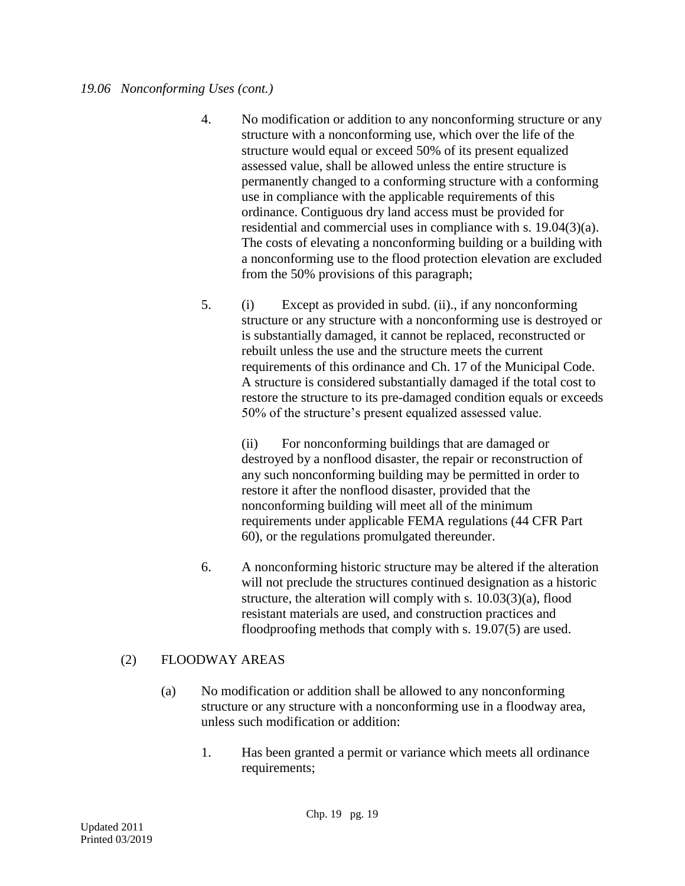- 4. No modification or addition to any nonconforming structure or any structure with a nonconforming use, which over the life of the structure would equal or exceed 50% of its present equalized assessed value, shall be allowed unless the entire structure is permanently changed to a conforming structure with a conforming use in compliance with the applicable requirements of this ordinance. Contiguous dry land access must be provided for residential and commercial uses in compliance with s. 19.04(3)(a). The costs of elevating a nonconforming building or a building with a nonconforming use to the flood protection elevation are excluded from the 50% provisions of this paragraph;
- 5. (i) Except as provided in subd. (ii)., if any nonconforming structure or any structure with a nonconforming use is destroyed or is substantially damaged, it cannot be replaced, reconstructed or rebuilt unless the use and the structure meets the current requirements of this ordinance and Ch. 17 of the Municipal Code. A structure is considered substantially damaged if the total cost to restore the structure to its pre-damaged condition equals or exceeds 50% of the structure's present equalized assessed value.

(ii) For nonconforming buildings that are damaged or destroyed by a nonflood disaster, the repair or reconstruction of any such nonconforming building may be permitted in order to restore it after the nonflood disaster, provided that the nonconforming building will meet all of the minimum requirements under applicable FEMA regulations (44 CFR Part 60), or the regulations promulgated thereunder.

6. A nonconforming historic structure may be altered if the alteration will not preclude the structures continued designation as a historic structure, the alteration will comply with s. 10.03(3)(a), flood resistant materials are used, and construction practices and floodproofing methods that comply with s. 19.07(5) are used.

# (2) FLOODWAY AREAS

- (a) No modification or addition shall be allowed to any nonconforming structure or any structure with a nonconforming use in a floodway area, unless such modification or addition:
	- 1. Has been granted a permit or variance which meets all ordinance requirements;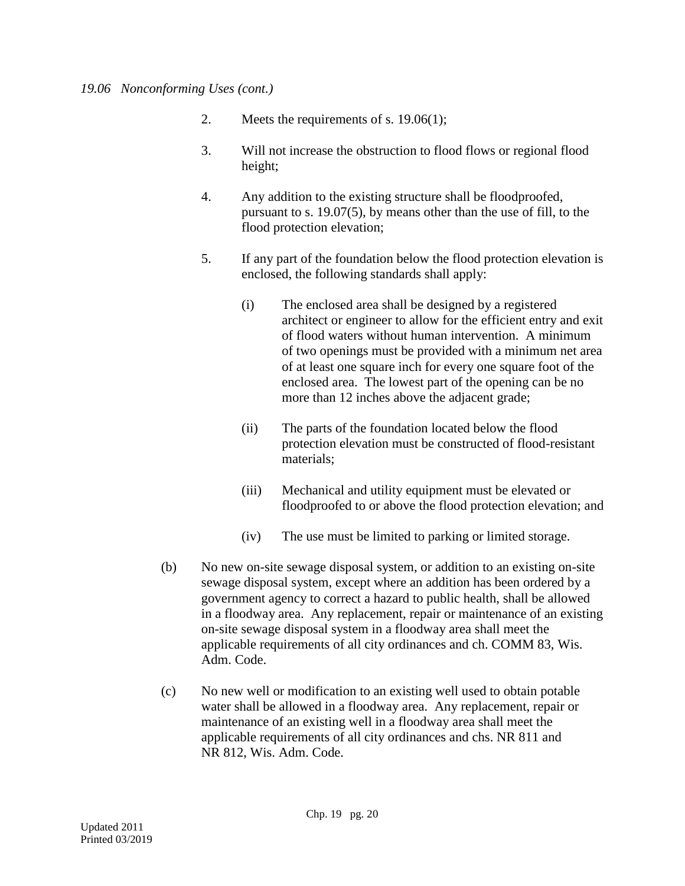### *19.06 Nonconforming Uses (cont.)*

- 2. Meets the requirements of s. 19.06(1);
- 3. Will not increase the obstruction to flood flows or regional flood height;
- 4. Any addition to the existing structure shall be floodproofed, pursuant to s. 19.07(5), by means other than the use of fill, to the flood protection elevation;
- 5. If any part of the foundation below the flood protection elevation is enclosed, the following standards shall apply:
	- (i) The enclosed area shall be designed by a registered architect or engineer to allow for the efficient entry and exit of flood waters without human intervention. A minimum of two openings must be provided with a minimum net area of at least one square inch for every one square foot of the enclosed area. The lowest part of the opening can be no more than 12 inches above the adjacent grade;
	- (ii) The parts of the foundation located below the flood protection elevation must be constructed of flood-resistant materials;
	- (iii) Mechanical and utility equipment must be elevated or floodproofed to or above the flood protection elevation; and
	- (iv) The use must be limited to parking or limited storage.
- (b) No new on-site sewage disposal system, or addition to an existing on-site sewage disposal system, except where an addition has been ordered by a government agency to correct a hazard to public health, shall be allowed in a floodway area. Any replacement, repair or maintenance of an existing on-site sewage disposal system in a floodway area shall meet the applicable requirements of all city ordinances and ch. COMM 83, Wis. Adm. Code.
- (c) No new well or modification to an existing well used to obtain potable water shall be allowed in a floodway area. Any replacement, repair or maintenance of an existing well in a floodway area shall meet the applicable requirements of all city ordinances and chs. NR 811 and NR 812, Wis. Adm. Code.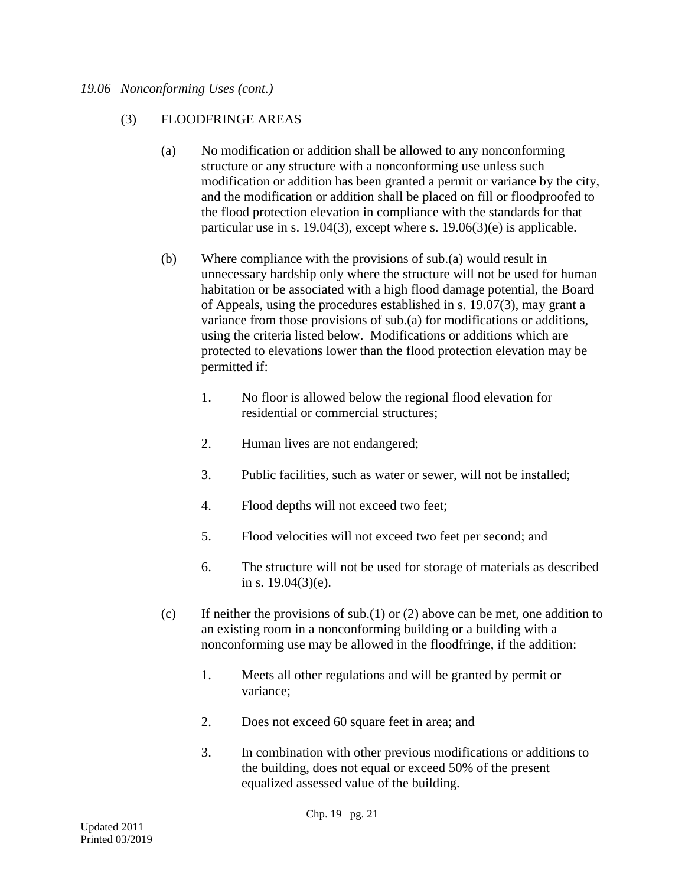### *19.06 Nonconforming Uses (cont.)*

### (3) FLOODFRINGE AREAS

- (a) No modification or addition shall be allowed to any nonconforming structure or any structure with a nonconforming use unless such modification or addition has been granted a permit or variance by the city, and the modification or addition shall be placed on fill or floodproofed to the flood protection elevation in compliance with the standards for that particular use in s. 19.04(3), except where s. 19.06(3)(e) is applicable.
- (b) Where compliance with the provisions of sub.(a) would result in unnecessary hardship only where the structure will not be used for human habitation or be associated with a high flood damage potential, the Board of Appeals, using the procedures established in s. 19.07(3), may grant a variance from those provisions of sub.(a) for modifications or additions, using the criteria listed below. Modifications or additions which are protected to elevations lower than the flood protection elevation may be permitted if:
	- 1. No floor is allowed below the regional flood elevation for residential or commercial structures;
	- 2. Human lives are not endangered;
	- 3. Public facilities, such as water or sewer, will not be installed;
	- 4. Flood depths will not exceed two feet;
	- 5. Flood velocities will not exceed two feet per second; and
	- 6. The structure will not be used for storage of materials as described in s. 19.04(3)(e).
- (c) If neither the provisions of sub.(1) or (2) above can be met, one addition to an existing room in a nonconforming building or a building with a nonconforming use may be allowed in the floodfringe, if the addition:
	- 1. Meets all other regulations and will be granted by permit or variance;
	- 2. Does not exceed 60 square feet in area; and
	- 3. In combination with other previous modifications or additions to the building, does not equal or exceed 50% of the present equalized assessed value of the building.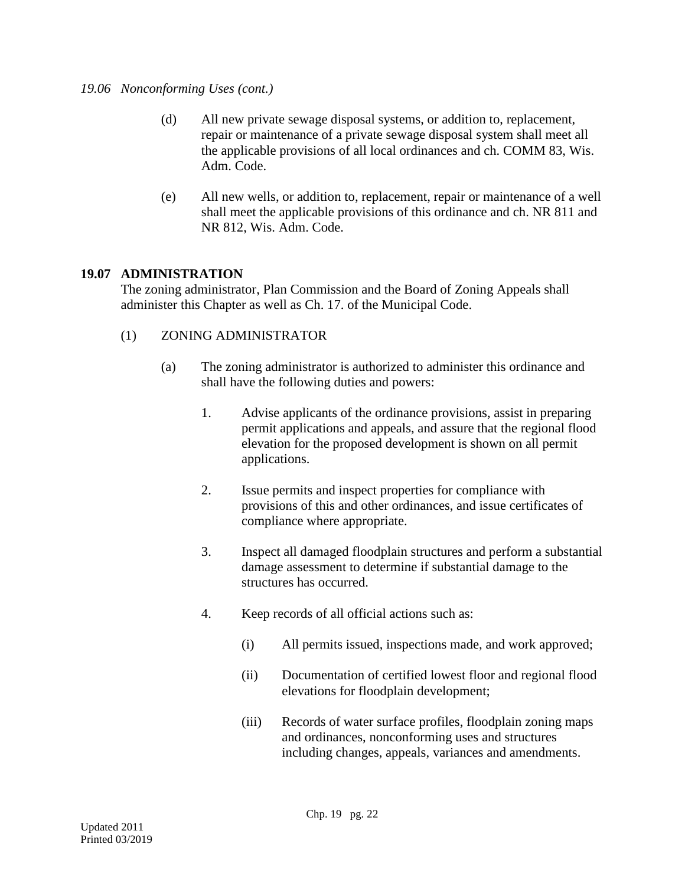### *19.06 Nonconforming Uses (cont.)*

- (d) All new private sewage disposal systems, or addition to, replacement, repair or maintenance of a private sewage disposal system shall meet all the applicable provisions of all local ordinances and ch. COMM 83, Wis. Adm. Code.
- (e) All new wells, or addition to, replacement, repair or maintenance of a well shall meet the applicable provisions of this ordinance and ch. NR 811 and NR 812, Wis. Adm. Code.

# **19.07 ADMINISTRATION**

The zoning administrator, Plan Commission and the Board of Zoning Appeals shall administer this Chapter as well as Ch. 17. of the Municipal Code.

- (1) ZONING ADMINISTRATOR
	- (a) The zoning administrator is authorized to administer this ordinance and shall have the following duties and powers:
		- 1. Advise applicants of the ordinance provisions, assist in preparing permit applications and appeals, and assure that the regional flood elevation for the proposed development is shown on all permit applications.
		- 2. Issue permits and inspect properties for compliance with provisions of this and other ordinances, and issue certificates of compliance where appropriate.
		- 3. Inspect all damaged floodplain structures and perform a substantial damage assessment to determine if substantial damage to the structures has occurred.
		- 4. Keep records of all official actions such as:
			- (i) All permits issued, inspections made, and work approved;
			- (ii) Documentation of certified lowest floor and regional flood elevations for floodplain development;
			- (iii) Records of water surface profiles, floodplain zoning maps and ordinances, nonconforming uses and structures including changes, appeals, variances and amendments.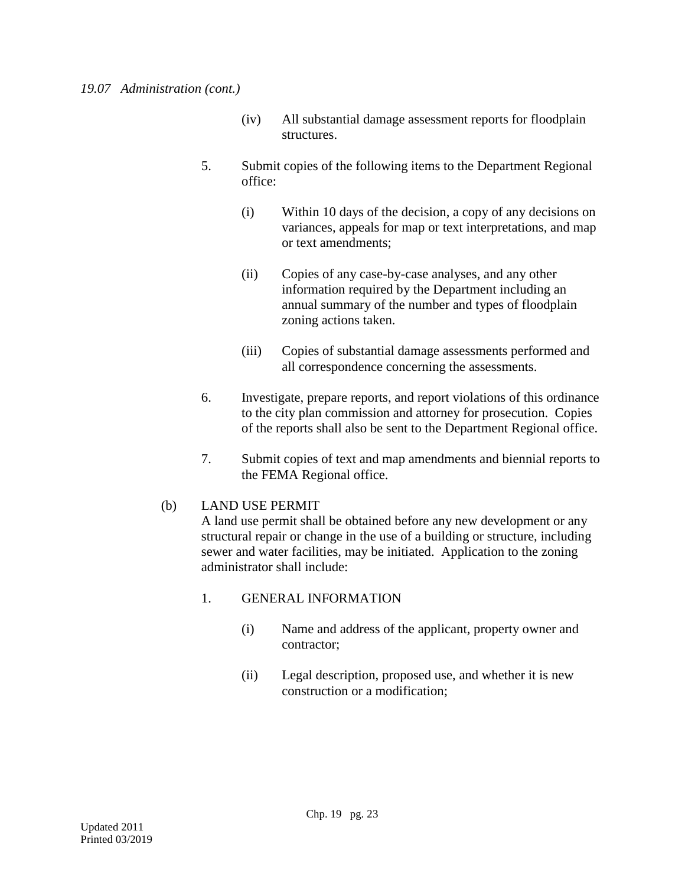- (iv) All substantial damage assessment reports for floodplain structures.
- 5. Submit copies of the following items to the Department Regional office:
	- (i) Within 10 days of the decision, a copy of any decisions on variances, appeals for map or text interpretations, and map or text amendments;
	- (ii) Copies of any case-by-case analyses, and any other information required by the Department including an annual summary of the number and types of floodplain zoning actions taken.
	- (iii) Copies of substantial damage assessments performed and all correspondence concerning the assessments.
- 6. Investigate, prepare reports, and report violations of this ordinance to the city plan commission and attorney for prosecution. Copies of the reports shall also be sent to the Department Regional office.
- 7. Submit copies of text and map amendments and biennial reports to the FEMA Regional office.

# (b) LAND USE PERMIT

A land use permit shall be obtained before any new development or any structural repair or change in the use of a building or structure, including sewer and water facilities, may be initiated. Application to the zoning administrator shall include:

# 1. GENERAL INFORMATION

- (i) Name and address of the applicant, property owner and contractor;
- (ii) Legal description, proposed use, and whether it is new construction or a modification;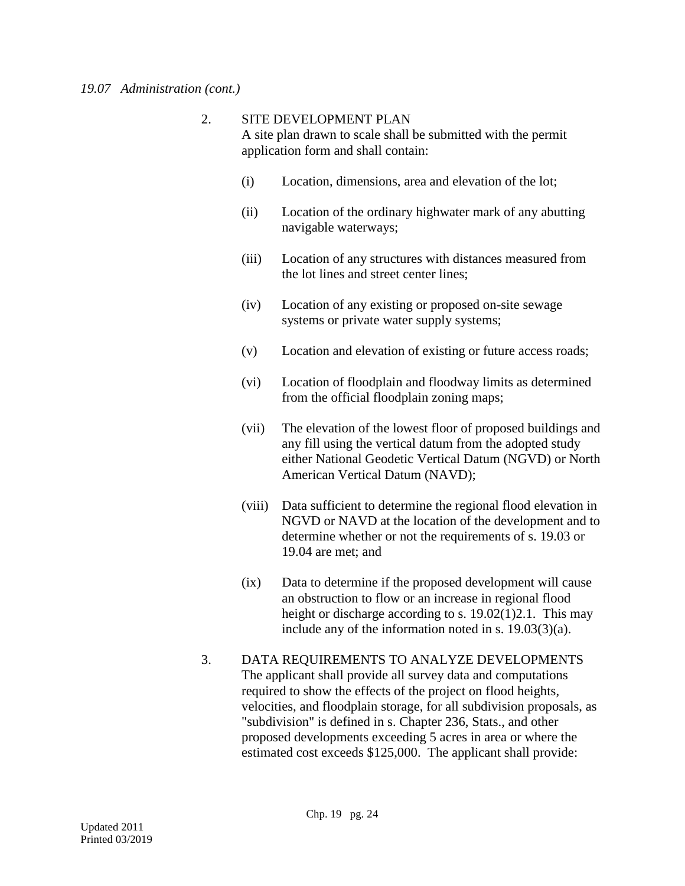### 2. SITE DEVELOPMENT PLAN A site plan drawn to scale shall be submitted with the permit application form and shall contain:

- (i) Location, dimensions, area and elevation of the lot;
- (ii) Location of the ordinary highwater mark of any abutting navigable waterways;
- (iii) Location of any structures with distances measured from the lot lines and street center lines;
- (iv) Location of any existing or proposed on-site sewage systems or private water supply systems;
- (v) Location and elevation of existing or future access roads;
- (vi) Location of floodplain and floodway limits as determined from the official floodplain zoning maps;
- (vii) The elevation of the lowest floor of proposed buildings and any fill using the vertical datum from the adopted study either National Geodetic Vertical Datum (NGVD) or North American Vertical Datum (NAVD);
- (viii) Data sufficient to determine the regional flood elevation in NGVD or NAVD at the location of the development and to determine whether or not the requirements of s. 19.03 or 19.04 are met; and
- (ix) Data to determine if the proposed development will cause an obstruction to flow or an increase in regional flood height or discharge according to s. 19.02(1)2.1. This may include any of the information noted in s. 19.03(3)(a).
- 3. DATA REQUIREMENTS TO ANALYZE DEVELOPMENTS The applicant shall provide all survey data and computations required to show the effects of the project on flood heights, velocities, and floodplain storage, for all subdivision proposals, as "subdivision" is defined in s. Chapter 236, Stats., and other proposed developments exceeding 5 acres in area or where the estimated cost exceeds \$125,000. The applicant shall provide: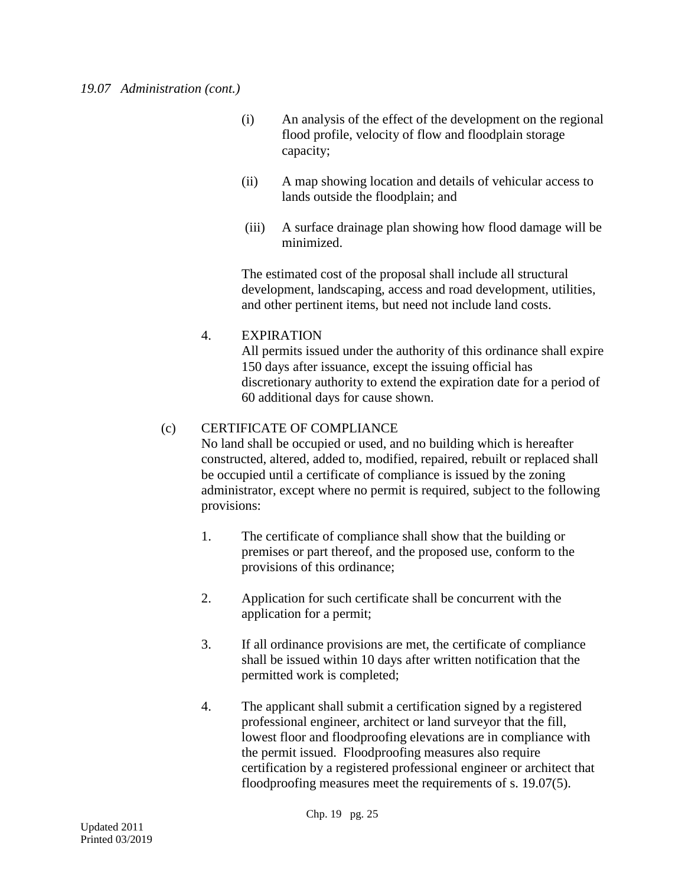- (i) An analysis of the effect of the development on the regional flood profile, velocity of flow and floodplain storage capacity;
- (ii) A map showing location and details of vehicular access to lands outside the floodplain; and
- (iii) A surface drainage plan showing how flood damage will be minimized.

The estimated cost of the proposal shall include all structural development, landscaping, access and road development, utilities, and other pertinent items, but need not include land costs.

# 4. EXPIRATION

All permits issued under the authority of this ordinance shall expire 150 days after issuance, except the issuing official has discretionary authority to extend the expiration date for a period of 60 additional days for cause shown.

# (c) CERTIFICATE OF COMPLIANCE

No land shall be occupied or used, and no building which is hereafter constructed, altered, added to, modified, repaired, rebuilt or replaced shall be occupied until a certificate of compliance is issued by the zoning administrator, except where no permit is required, subject to the following provisions:

- 1. The certificate of compliance shall show that the building or premises or part thereof, and the proposed use, conform to the provisions of this ordinance;
- 2. Application for such certificate shall be concurrent with the application for a permit;
- 3. If all ordinance provisions are met, the certificate of compliance shall be issued within 10 days after written notification that the permitted work is completed;
- 4. The applicant shall submit a certification signed by a registered professional engineer, architect or land surveyor that the fill, lowest floor and floodproofing elevations are in compliance with the permit issued. Floodproofing measures also require certification by a registered professional engineer or architect that floodproofing measures meet the requirements of s. 19.07(5).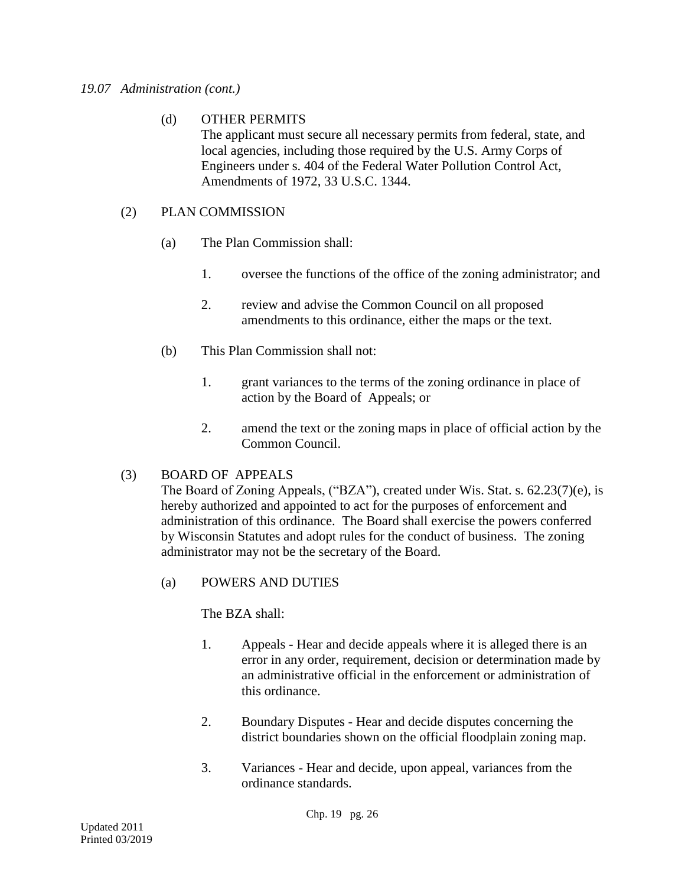### *19.07 Administration (cont.)*

# (d) OTHER PERMITS

The applicant must secure all necessary permits from federal, state, and local agencies, including those required by the U.S. Army Corps of Engineers under s. 404 of the Federal Water Pollution Control Act, Amendments of 1972, 33 U.S.C. 1344.

# (2) PLAN COMMISSION

- (a) The Plan Commission shall:
	- 1. oversee the functions of the office of the zoning administrator; and
	- 2. review and advise the Common Council on all proposed amendments to this ordinance, either the maps or the text.
- (b) This Plan Commission shall not:
	- 1. grant variances to the terms of the zoning ordinance in place of action by the Board of Appeals; or
	- 2. amend the text or the zoning maps in place of official action by the Common Council.

# (3) BOARD OF APPEALS

The Board of Zoning Appeals, ("BZA"), created under Wis. Stat. s. 62.23(7)(e), is hereby authorized and appointed to act for the purposes of enforcement and administration of this ordinance. The Board shall exercise the powers conferred by Wisconsin Statutes and adopt rules for the conduct of business. The zoning administrator may not be the secretary of the Board.

(a) POWERS AND DUTIES

The BZA shall:

- 1. Appeals Hear and decide appeals where it is alleged there is an error in any order, requirement, decision or determination made by an administrative official in the enforcement or administration of this ordinance.
- 2. Boundary Disputes Hear and decide disputes concerning the district boundaries shown on the official floodplain zoning map.
- 3. Variances Hear and decide, upon appeal, variances from the ordinance standards.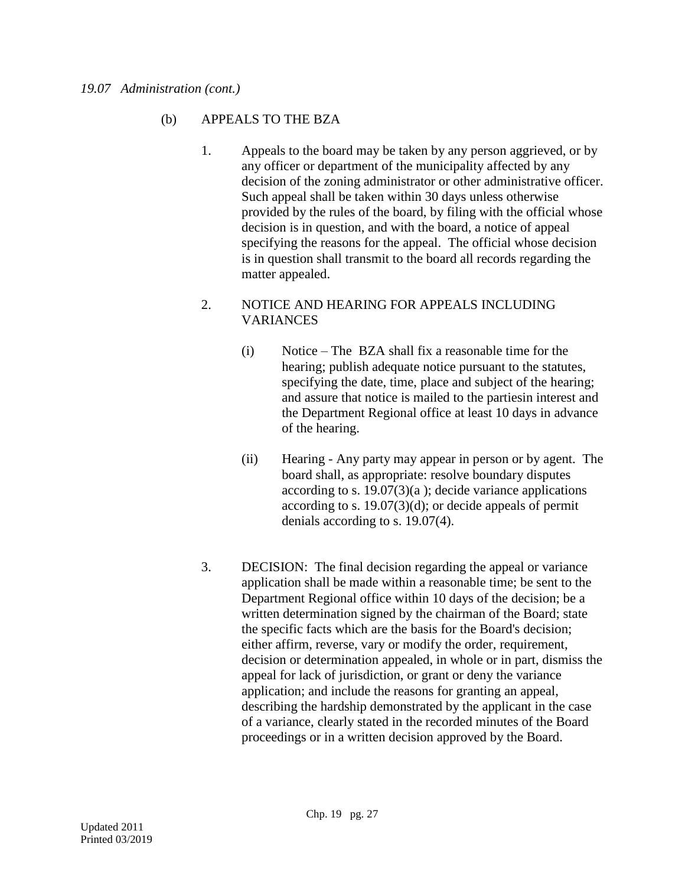# (b) APPEALS TO THE BZA

1. Appeals to the board may be taken by any person aggrieved, or by any officer or department of the municipality affected by any decision of the zoning administrator or other administrative officer. Such appeal shall be taken within 30 days unless otherwise provided by the rules of the board, by filing with the official whose decision is in question, and with the board, a notice of appeal specifying the reasons for the appeal. The official whose decision is in question shall transmit to the board all records regarding the matter appealed.

### 2. NOTICE AND HEARING FOR APPEALS INCLUDING VARIANCES

- (i) Notice The BZA shall fix a reasonable time for the hearing; publish adequate notice pursuant to the statutes, specifying the date, time, place and subject of the hearing; and assure that notice is mailed to the partiesin interest and the Department Regional office at least 10 days in advance of the hearing.
- (ii) Hearing Any party may appear in person or by agent. The board shall, as appropriate: resolve boundary disputes according to s.  $19.07(3)(a)$ ; decide variance applications according to s. 19.07(3)(d); or decide appeals of permit denials according to s. 19.07(4).
- 3. DECISION: The final decision regarding the appeal or variance application shall be made within a reasonable time; be sent to the Department Regional office within 10 days of the decision; be a written determination signed by the chairman of the Board; state the specific facts which are the basis for the Board's decision; either affirm, reverse, vary or modify the order, requirement, decision or determination appealed, in whole or in part, dismiss the appeal for lack of jurisdiction, or grant or deny the variance application; and include the reasons for granting an appeal, describing the hardship demonstrated by the applicant in the case of a variance, clearly stated in the recorded minutes of the Board proceedings or in a written decision approved by the Board.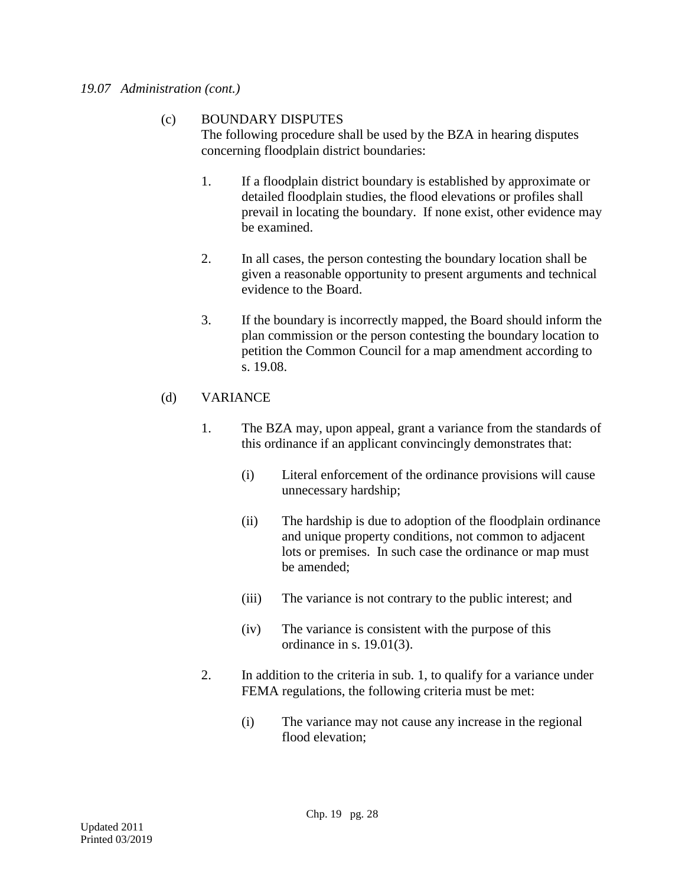#### *19.07 Administration (cont.)*

# (c) BOUNDARY DISPUTES

The following procedure shall be used by the BZA in hearing disputes concerning floodplain district boundaries:

- 1. If a floodplain district boundary is established by approximate or detailed floodplain studies, the flood elevations or profiles shall prevail in locating the boundary. If none exist, other evidence may be examined.
- 2. In all cases, the person contesting the boundary location shall be given a reasonable opportunity to present arguments and technical evidence to the Board.
- 3. If the boundary is incorrectly mapped, the Board should inform the plan commission or the person contesting the boundary location to petition the Common Council for a map amendment according to s. 19.08.

# (d) VARIANCE

- 1. The BZA may, upon appeal, grant a variance from the standards of this ordinance if an applicant convincingly demonstrates that:
	- (i) Literal enforcement of the ordinance provisions will cause unnecessary hardship;
	- (ii) The hardship is due to adoption of the floodplain ordinance and unique property conditions, not common to adjacent lots or premises. In such case the ordinance or map must be amended;
	- (iii) The variance is not contrary to the public interest; and
	- (iv) The variance is consistent with the purpose of this ordinance in s. 19.01(3).
- 2. In addition to the criteria in sub. 1, to qualify for a variance under FEMA regulations, the following criteria must be met:
	- (i) The variance may not cause any increase in the regional flood elevation;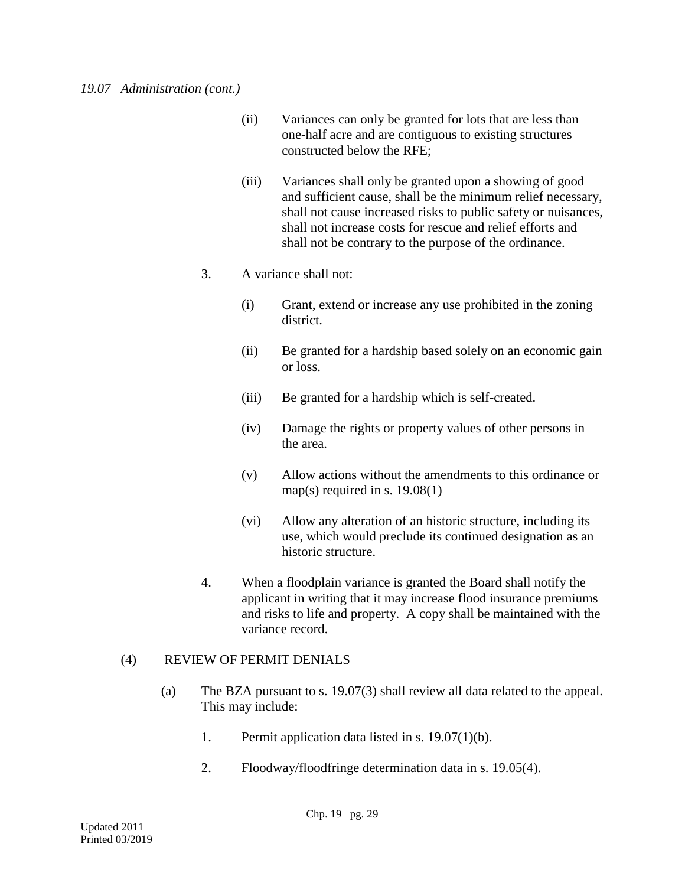- (ii) Variances can only be granted for lots that are less than one-half acre and are contiguous to existing structures constructed below the RFE;
- (iii) Variances shall only be granted upon a showing of good and sufficient cause, shall be the minimum relief necessary, shall not cause increased risks to public safety or nuisances, shall not increase costs for rescue and relief efforts and shall not be contrary to the purpose of the ordinance.

# 3. A variance shall not:

- (i) Grant, extend or increase any use prohibited in the zoning district.
- (ii) Be granted for a hardship based solely on an economic gain or loss.
- (iii) Be granted for a hardship which is self-created.
- (iv) Damage the rights or property values of other persons in the area.
- (v) Allow actions without the amendments to this ordinance or map(s) required in s.  $19.08(1)$
- (vi) Allow any alteration of an historic structure, including its use, which would preclude its continued designation as an historic structure.
- 4. When a floodplain variance is granted the Board shall notify the applicant in writing that it may increase flood insurance premiums and risks to life and property. A copy shall be maintained with the variance record.

# (4) REVIEW OF PERMIT DENIALS

- (a) The BZA pursuant to s. 19.07(3) shall review all data related to the appeal. This may include:
	- 1. Permit application data listed in s. 19.07(1)(b).
	- 2. Floodway/floodfringe determination data in s. 19.05(4).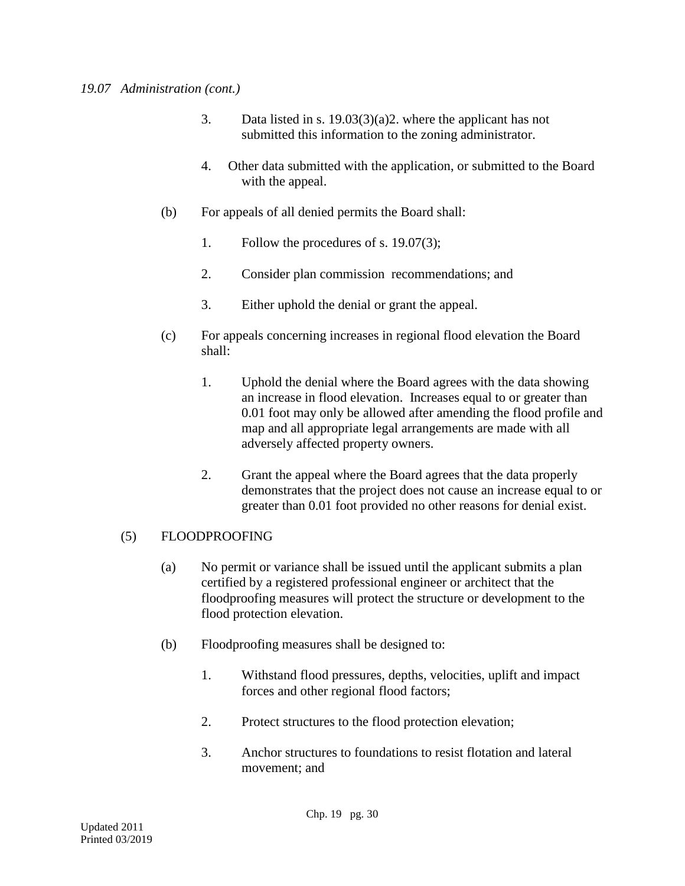- 3. Data listed in s. 19.03(3)(a)2. where the applicant has not submitted this information to the zoning administrator.
- 4. Other data submitted with the application, or submitted to the Board with the appeal.
- (b) For appeals of all denied permits the Board shall:
	- 1. Follow the procedures of s. 19.07(3);
	- 2. Consider plan commission recommendations; and
	- 3. Either uphold the denial or grant the appeal.
- (c) For appeals concerning increases in regional flood elevation the Board shall:
	- 1. Uphold the denial where the Board agrees with the data showing an increase in flood elevation. Increases equal to or greater than 0.01 foot may only be allowed after amending the flood profile and map and all appropriate legal arrangements are made with all adversely affected property owners.
	- 2. Grant the appeal where the Board agrees that the data properly demonstrates that the project does not cause an increase equal to or greater than 0.01 foot provided no other reasons for denial exist.

# (5) FLOODPROOFING

- (a) No permit or variance shall be issued until the applicant submits a plan certified by a registered professional engineer or architect that the floodproofing measures will protect the structure or development to the flood protection elevation.
- (b) Floodproofing measures shall be designed to:
	- 1. Withstand flood pressures, depths, velocities, uplift and impact forces and other regional flood factors;
	- 2. Protect structures to the flood protection elevation;
	- 3. Anchor structures to foundations to resist flotation and lateral movement; and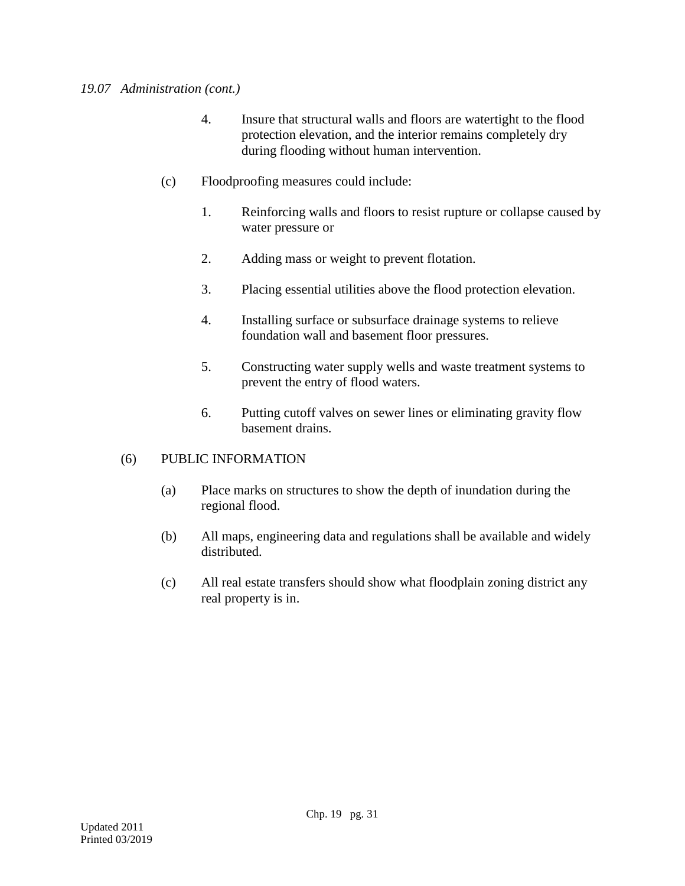- 4. Insure that structural walls and floors are watertight to the flood protection elevation, and the interior remains completely dry during flooding without human intervention.
- (c) Floodproofing measures could include:
	- 1. Reinforcing walls and floors to resist rupture or collapse caused by water pressure or
	- 2. Adding mass or weight to prevent flotation.
	- 3. Placing essential utilities above the flood protection elevation.
	- 4. Installing surface or subsurface drainage systems to relieve foundation wall and basement floor pressures.
	- 5. Constructing water supply wells and waste treatment systems to prevent the entry of flood waters.
	- 6. Putting cutoff valves on sewer lines or eliminating gravity flow basement drains.

# (6) PUBLIC INFORMATION

- (a) Place marks on structures to show the depth of inundation during the regional flood.
- (b) All maps, engineering data and regulations shall be available and widely distributed.
- (c) All real estate transfers should show what floodplain zoning district any real property is in.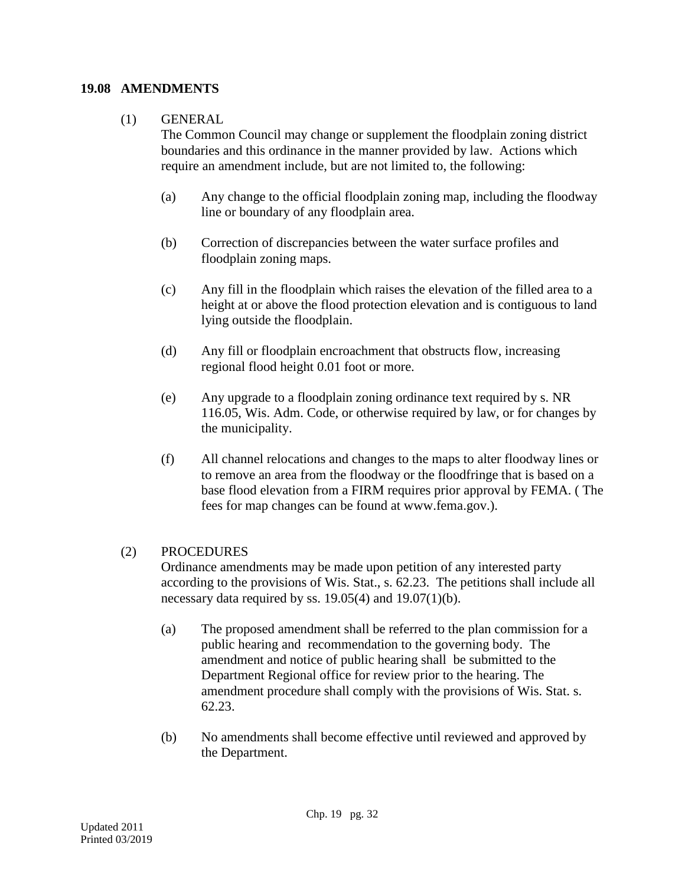### **19.08 AMENDMENTS**

# (1) GENERAL

The Common Council may change or supplement the floodplain zoning district boundaries and this ordinance in the manner provided by law. Actions which require an amendment include, but are not limited to, the following:

- (a) Any change to the official floodplain zoning map, including the floodway line or boundary of any floodplain area.
- (b) Correction of discrepancies between the water surface profiles and floodplain zoning maps.
- (c) Any fill in the floodplain which raises the elevation of the filled area to a height at or above the flood protection elevation and is contiguous to land lying outside the floodplain.
- (d) Any fill or floodplain encroachment that obstructs flow, increasing regional flood height 0.01 foot or more.
- (e) Any upgrade to a floodplain zoning ordinance text required by s. NR 116.05, Wis. Adm. Code, or otherwise required by law, or for changes by the municipality.
- (f) All channel relocations and changes to the maps to alter floodway lines or to remove an area from the floodway or the floodfringe that is based on a base flood elevation from a FIRM requires prior approval by FEMA. ( The fees for map changes can be found at www.fema.gov.).

# (2) PROCEDURES

Ordinance amendments may be made upon petition of any interested party according to the provisions of Wis. Stat., s. 62.23. The petitions shall include all necessary data required by ss.  $19.05(4)$  and  $19.07(1)(b)$ .

- (a) The proposed amendment shall be referred to the plan commission for a public hearing and recommendation to the governing body. The amendment and notice of public hearing shall be submitted to the Department Regional office for review prior to the hearing. The amendment procedure shall comply with the provisions of Wis. Stat. s. 62.23.
- (b) No amendments shall become effective until reviewed and approved by the Department.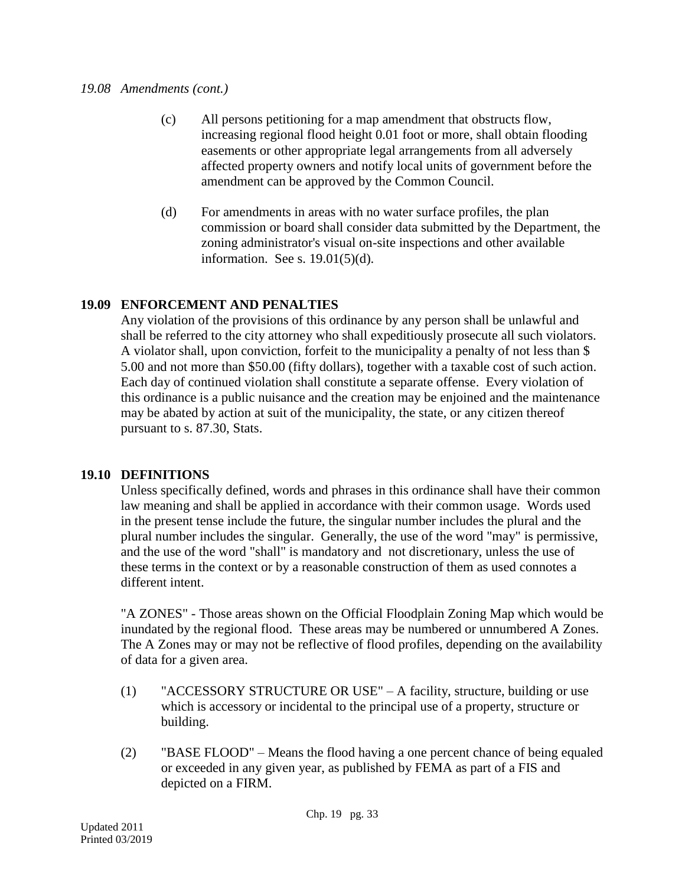#### *19.08 Amendments (cont.)*

- (c) All persons petitioning for a map amendment that obstructs flow, increasing regional flood height 0.01 foot or more, shall obtain flooding easements or other appropriate legal arrangements from all adversely affected property owners and notify local units of government before the amendment can be approved by the Common Council.
- (d) For amendments in areas with no water surface profiles, the plan commission or board shall consider data submitted by the Department, the zoning administrator's visual on-site inspections and other available information. See s. 19.01(5)(d).

# **19.09 ENFORCEMENT AND PENALTIES**

Any violation of the provisions of this ordinance by any person shall be unlawful and shall be referred to the city attorney who shall expeditiously prosecute all such violators. A violator shall, upon conviction, forfeit to the municipality a penalty of not less than \$ 5.00 and not more than \$50.00 (fifty dollars), together with a taxable cost of such action. Each day of continued violation shall constitute a separate offense. Every violation of this ordinance is a public nuisance and the creation may be enjoined and the maintenance may be abated by action at suit of the municipality, the state, or any citizen thereof pursuant to s. 87.30, Stats.

# **19.10 DEFINITIONS**

Unless specifically defined, words and phrases in this ordinance shall have their common law meaning and shall be applied in accordance with their common usage. Words used in the present tense include the future, the singular number includes the plural and the plural number includes the singular. Generally, the use of the word "may" is permissive, and the use of the word "shall" is mandatory and not discretionary, unless the use of these terms in the context or by a reasonable construction of them as used connotes a different intent.

"A ZONES" - Those areas shown on the Official Floodplain Zoning Map which would be inundated by the regional flood. These areas may be numbered or unnumbered A Zones. The A Zones may or may not be reflective of flood profiles, depending on the availability of data for a given area.

- (1) "ACCESSORY STRUCTURE OR USE" A facility, structure, building or use which is accessory or incidental to the principal use of a property, structure or building.
- (2) "BASE FLOOD" Means the flood having a one percent chance of being equaled or exceeded in any given year, as published by FEMA as part of a FIS and depicted on a FIRM.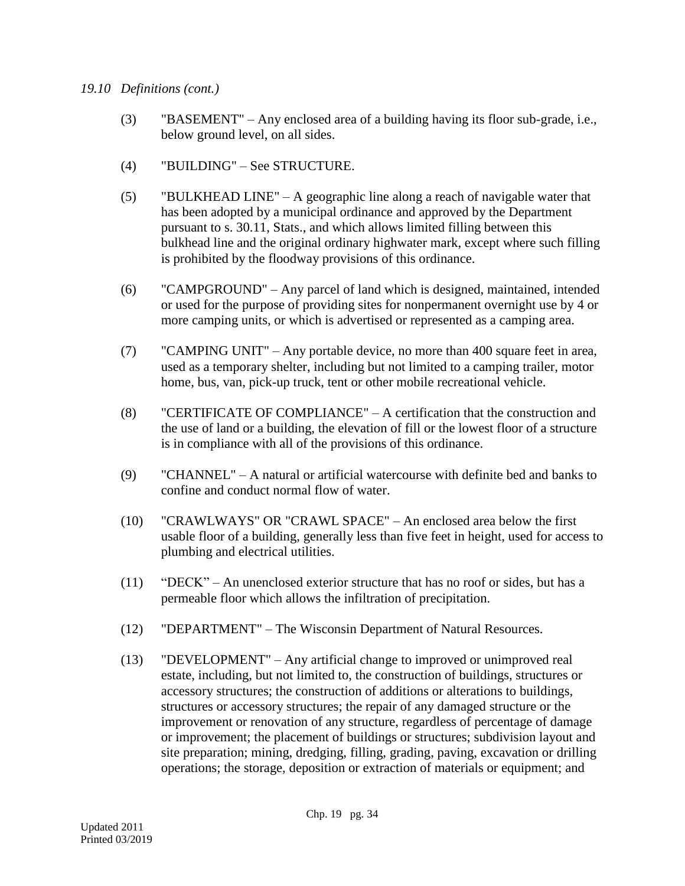- (3) "BASEMENT" Any enclosed area of a building having its floor sub-grade, i.e., below ground level, on all sides.
- (4) "BUILDING" See STRUCTURE.
- (5) "BULKHEAD LINE" A geographic line along a reach of navigable water that has been adopted by a municipal ordinance and approved by the Department pursuant to s. 30.11, Stats., and which allows limited filling between this bulkhead line and the original ordinary highwater mark, except where such filling is prohibited by the floodway provisions of this ordinance.
- (6) "CAMPGROUND" Any parcel of land which is designed, maintained, intended or used for the purpose of providing sites for nonpermanent overnight use by 4 or more camping units, or which is advertised or represented as a camping area.
- (7) "CAMPING UNIT" Any portable device, no more than 400 square feet in area, used as a temporary shelter, including but not limited to a camping trailer, motor home, bus, van, pick-up truck, tent or other mobile recreational vehicle.
- (8) "CERTIFICATE OF COMPLIANCE" A certification that the construction and the use of land or a building, the elevation of fill or the lowest floor of a structure is in compliance with all of the provisions of this ordinance.
- (9) "CHANNEL" A natural or artificial watercourse with definite bed and banks to confine and conduct normal flow of water.
- (10) "CRAWLWAYS" OR "CRAWL SPACE" An enclosed area below the first usable floor of a building, generally less than five feet in height, used for access to plumbing and electrical utilities.
- (11) "DECK" An unenclosed exterior structure that has no roof or sides, but has a permeable floor which allows the infiltration of precipitation.
- (12) "DEPARTMENT" The Wisconsin Department of Natural Resources.
- (13) "DEVELOPMENT" Any artificial change to improved or unimproved real estate, including, but not limited to, the construction of buildings, structures or accessory structures; the construction of additions or alterations to buildings, structures or accessory structures; the repair of any damaged structure or the improvement or renovation of any structure, regardless of percentage of damage or improvement; the placement of buildings or structures; subdivision layout and site preparation; mining, dredging, filling, grading, paving, excavation or drilling operations; the storage, deposition or extraction of materials or equipment; and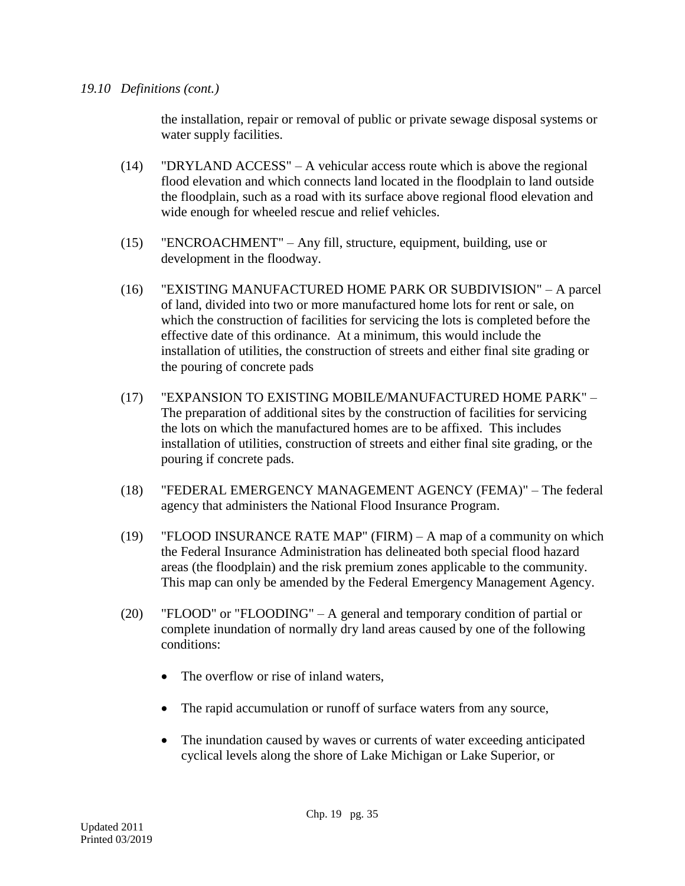the installation, repair or removal of public or private sewage disposal systems or water supply facilities.

- (14) "DRYLAND ACCESS" A vehicular access route which is above the regional flood elevation and which connects land located in the floodplain to land outside the floodplain, such as a road with its surface above regional flood elevation and wide enough for wheeled rescue and relief vehicles.
- (15) "ENCROACHMENT" Any fill, structure, equipment, building, use or development in the floodway.
- (16) "EXISTING MANUFACTURED HOME PARK OR SUBDIVISION" A parcel of land, divided into two or more manufactured home lots for rent or sale, on which the construction of facilities for servicing the lots is completed before the effective date of this ordinance. At a minimum, this would include the installation of utilities, the construction of streets and either final site grading or the pouring of concrete pads
- (17) "EXPANSION TO EXISTING MOBILE/MANUFACTURED HOME PARK" The preparation of additional sites by the construction of facilities for servicing the lots on which the manufactured homes are to be affixed. This includes installation of utilities, construction of streets and either final site grading, or the pouring if concrete pads.
- (18) "FEDERAL EMERGENCY MANAGEMENT AGENCY (FEMA)" The federal agency that administers the National Flood Insurance Program.
- (19) "FLOOD INSURANCE RATE MAP" (FIRM) A map of a community on which the Federal Insurance Administration has delineated both special flood hazard areas (the floodplain) and the risk premium zones applicable to the community. This map can only be amended by the Federal Emergency Management Agency.
- (20) "FLOOD" or "FLOODING" A general and temporary condition of partial or complete inundation of normally dry land areas caused by one of the following conditions:
	- The overflow or rise of inland waters,
	- The rapid accumulation or runoff of surface waters from any source,
	- The inundation caused by waves or currents of water exceeding anticipated cyclical levels along the shore of Lake Michigan or Lake Superior, or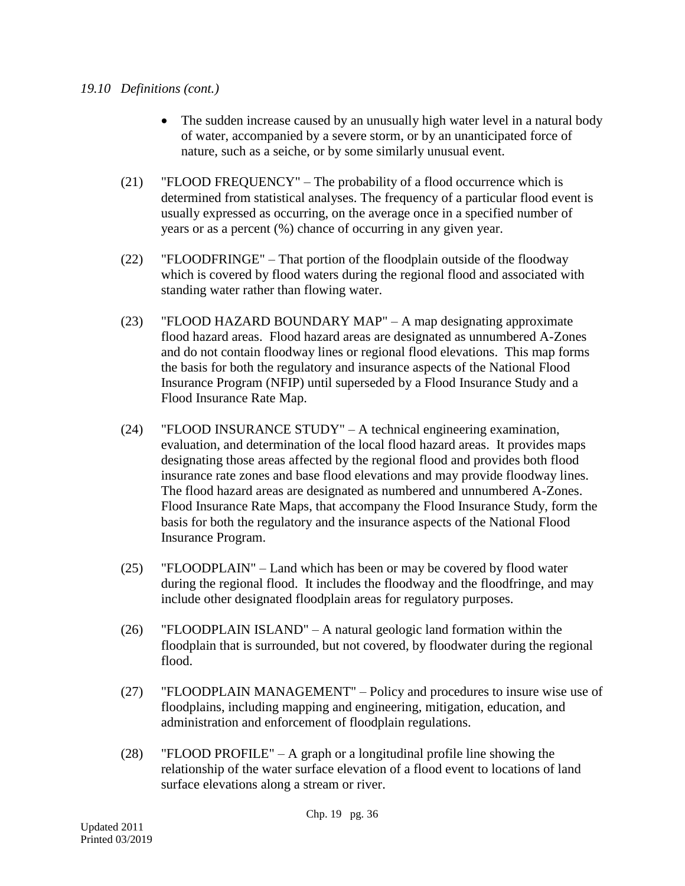- The sudden increase caused by an unusually high water level in a natural body of water, accompanied by a severe storm, or by an unanticipated force of nature, such as a seiche, or by some similarly unusual event.
- (21) "FLOOD FREQUENCY" The probability of a flood occurrence which is determined from statistical analyses. The frequency of a particular flood event is usually expressed as occurring, on the average once in a specified number of years or as a percent (%) chance of occurring in any given year.
- (22) "FLOODFRINGE" That portion of the floodplain outside of the floodway which is covered by flood waters during the regional flood and associated with standing water rather than flowing water.
- (23) "FLOOD HAZARD BOUNDARY MAP" A map designating approximate flood hazard areas. Flood hazard areas are designated as unnumbered A-Zones and do not contain floodway lines or regional flood elevations. This map forms the basis for both the regulatory and insurance aspects of the National Flood Insurance Program (NFIP) until superseded by a Flood Insurance Study and a Flood Insurance Rate Map.
- (24) "FLOOD INSURANCE STUDY" A technical engineering examination, evaluation, and determination of the local flood hazard areas. It provides maps designating those areas affected by the regional flood and provides both flood insurance rate zones and base flood elevations and may provide floodway lines. The flood hazard areas are designated as numbered and unnumbered A-Zones. Flood Insurance Rate Maps, that accompany the Flood Insurance Study, form the basis for both the regulatory and the insurance aspects of the National Flood Insurance Program.
- (25) "FLOODPLAIN" Land which has been or may be covered by flood water during the regional flood. It includes the floodway and the floodfringe, and may include other designated floodplain areas for regulatory purposes.
- (26) "FLOODPLAIN ISLAND" A natural geologic land formation within the floodplain that is surrounded, but not covered, by floodwater during the regional flood.
- (27) "FLOODPLAIN MANAGEMENT" Policy and procedures to insure wise use of floodplains, including mapping and engineering, mitigation, education, and administration and enforcement of floodplain regulations.
- (28) "FLOOD PROFILE" A graph or a longitudinal profile line showing the relationship of the water surface elevation of a flood event to locations of land surface elevations along a stream or river.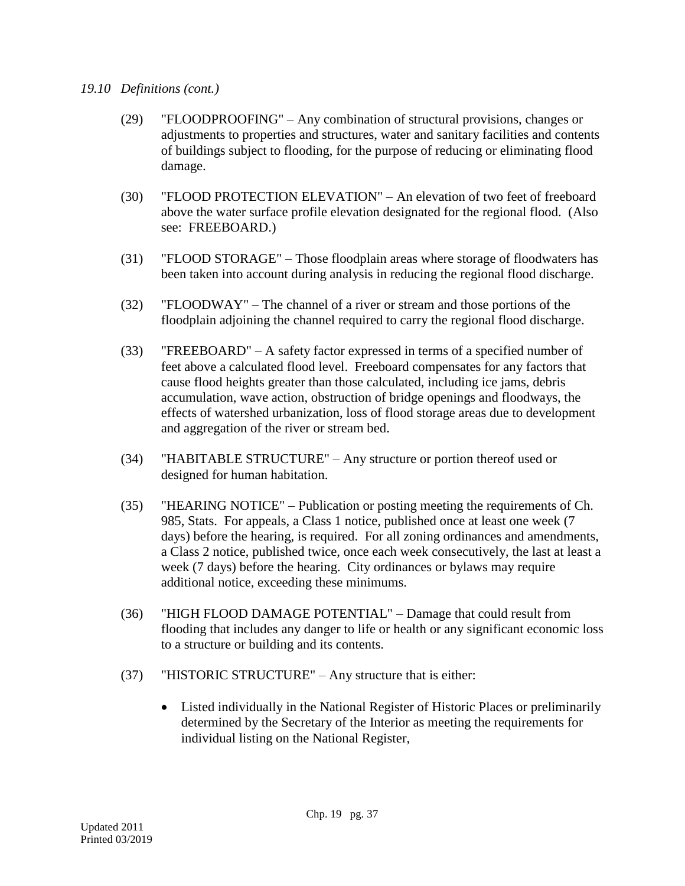- (29) "FLOODPROOFING" Any combination of structural provisions, changes or adjustments to properties and structures, water and sanitary facilities and contents of buildings subject to flooding, for the purpose of reducing or eliminating flood damage.
- (30) "FLOOD PROTECTION ELEVATION" An elevation of two feet of freeboard above the water surface profile elevation designated for the regional flood. (Also see: FREEBOARD.)
- (31) "FLOOD STORAGE" Those floodplain areas where storage of floodwaters has been taken into account during analysis in reducing the regional flood discharge.
- (32) "FLOODWAY" The channel of a river or stream and those portions of the floodplain adjoining the channel required to carry the regional flood discharge.
- (33) "FREEBOARD" A safety factor expressed in terms of a specified number of feet above a calculated flood level. Freeboard compensates for any factors that cause flood heights greater than those calculated, including ice jams, debris accumulation, wave action, obstruction of bridge openings and floodways, the effects of watershed urbanization, loss of flood storage areas due to development and aggregation of the river or stream bed.
- (34) "HABITABLE STRUCTURE" Any structure or portion thereof used or designed for human habitation.
- (35) "HEARING NOTICE" Publication or posting meeting the requirements of Ch. 985, Stats. For appeals, a Class 1 notice, published once at least one week (7 days) before the hearing, is required. For all zoning ordinances and amendments, a Class 2 notice, published twice, once each week consecutively, the last at least a week (7 days) before the hearing. City ordinances or bylaws may require additional notice, exceeding these minimums.
- (36) "HIGH FLOOD DAMAGE POTENTIAL" Damage that could result from flooding that includes any danger to life or health or any significant economic loss to a structure or building and its contents.
- (37) "HISTORIC STRUCTURE" Any structure that is either:
	- Listed individually in the National Register of Historic Places or preliminarily determined by the Secretary of the Interior as meeting the requirements for individual listing on the National Register,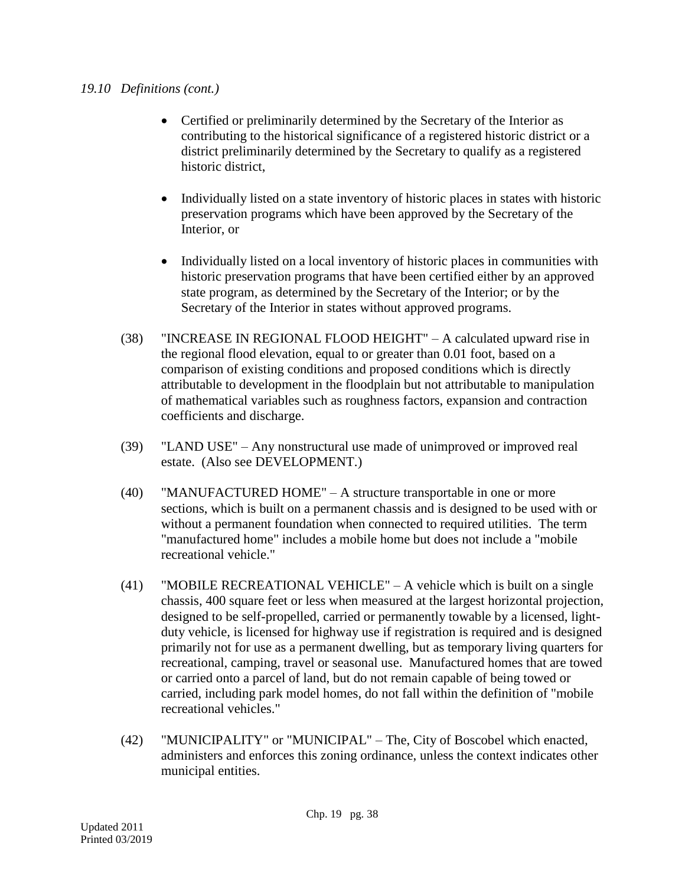- Certified or preliminarily determined by the Secretary of the Interior as contributing to the historical significance of a registered historic district or a district preliminarily determined by the Secretary to qualify as a registered historic district,
- Individually listed on a state inventory of historic places in states with historic preservation programs which have been approved by the Secretary of the Interior, or
- Individually listed on a local inventory of historic places in communities with historic preservation programs that have been certified either by an approved state program, as determined by the Secretary of the Interior; or by the Secretary of the Interior in states without approved programs.
- (38) "INCREASE IN REGIONAL FLOOD HEIGHT" A calculated upward rise in the regional flood elevation, equal to or greater than 0.01 foot, based on a comparison of existing conditions and proposed conditions which is directly attributable to development in the floodplain but not attributable to manipulation of mathematical variables such as roughness factors, expansion and contraction coefficients and discharge.
- (39) "LAND USE" Any nonstructural use made of unimproved or improved real estate. (Also see DEVELOPMENT.)
- (40) "MANUFACTURED HOME" A structure transportable in one or more sections, which is built on a permanent chassis and is designed to be used with or without a permanent foundation when connected to required utilities. The term "manufactured home" includes a mobile home but does not include a "mobile recreational vehicle."
- (41) "MOBILE RECREATIONAL VEHICLE" A vehicle which is built on a single chassis, 400 square feet or less when measured at the largest horizontal projection, designed to be self-propelled, carried or permanently towable by a licensed, lightduty vehicle, is licensed for highway use if registration is required and is designed primarily not for use as a permanent dwelling, but as temporary living quarters for recreational, camping, travel or seasonal use. Manufactured homes that are towed or carried onto a parcel of land, but do not remain capable of being towed or carried, including park model homes, do not fall within the definition of "mobile recreational vehicles."
- (42) "MUNICIPALITY" or "MUNICIPAL" The, City of Boscobel which enacted, administers and enforces this zoning ordinance, unless the context indicates other municipal entities.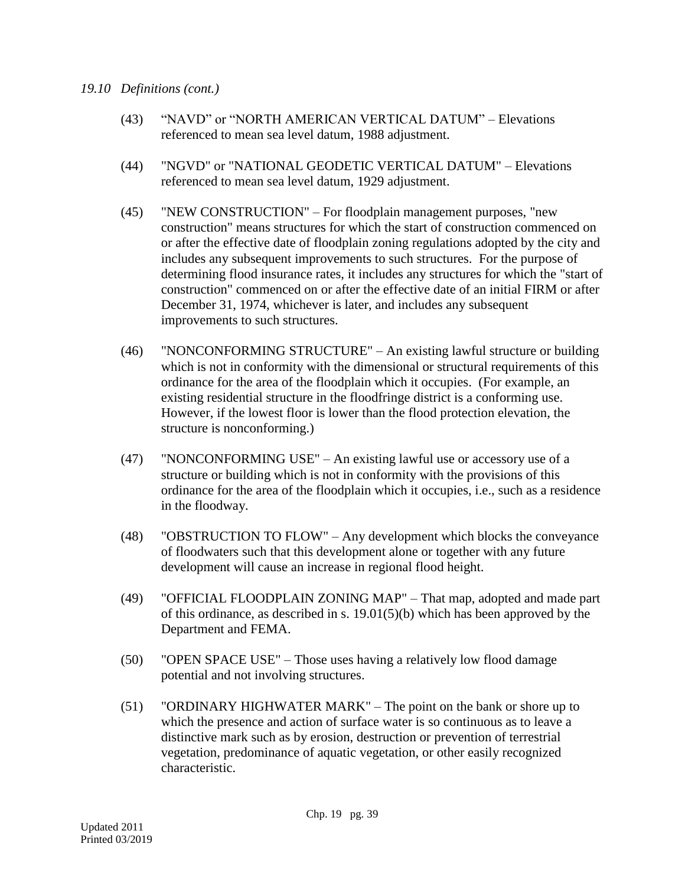- (43) "NAVD" or "NORTH AMERICAN VERTICAL DATUM" Elevations referenced to mean sea level datum, 1988 adjustment.
- (44) "NGVD" or "NATIONAL GEODETIC VERTICAL DATUM" Elevations referenced to mean sea level datum, 1929 adjustment.
- (45) "NEW CONSTRUCTION" For floodplain management purposes, "new construction" means structures for which the start of construction commenced on or after the effective date of floodplain zoning regulations adopted by the city and includes any subsequent improvements to such structures. For the purpose of determining flood insurance rates, it includes any structures for which the "start of construction" commenced on or after the effective date of an initial FIRM or after December 31, 1974, whichever is later, and includes any subsequent improvements to such structures.
- (46) "NONCONFORMING STRUCTURE" An existing lawful structure or building which is not in conformity with the dimensional or structural requirements of this ordinance for the area of the floodplain which it occupies. (For example, an existing residential structure in the floodfringe district is a conforming use. However, if the lowest floor is lower than the flood protection elevation, the structure is nonconforming.)
- (47) "NONCONFORMING USE" An existing lawful use or accessory use of a structure or building which is not in conformity with the provisions of this ordinance for the area of the floodplain which it occupies, i.e., such as a residence in the floodway.
- (48) "OBSTRUCTION TO FLOW" Any development which blocks the conveyance of floodwaters such that this development alone or together with any future development will cause an increase in regional flood height.
- (49) "OFFICIAL FLOODPLAIN ZONING MAP" That map, adopted and made part of this ordinance, as described in s. 19.01(5)(b) which has been approved by the Department and FEMA.
- (50) "OPEN SPACE USE" Those uses having a relatively low flood damage potential and not involving structures.
- (51) "ORDINARY HIGHWATER MARK" The point on the bank or shore up to which the presence and action of surface water is so continuous as to leave a distinctive mark such as by erosion, destruction or prevention of terrestrial vegetation, predominance of aquatic vegetation, or other easily recognized characteristic.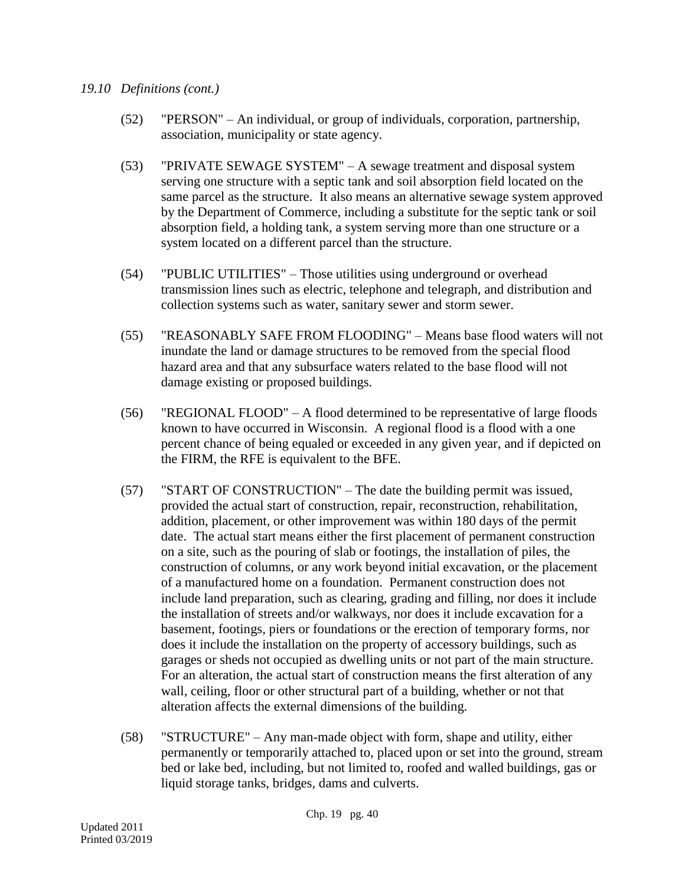- (52) "PERSON" An individual, or group of individuals, corporation, partnership, association, municipality or state agency.
- (53) "PRIVATE SEWAGE SYSTEM" A sewage treatment and disposal system serving one structure with a septic tank and soil absorption field located on the same parcel as the structure. It also means an alternative sewage system approved by the Department of Commerce, including a substitute for the septic tank or soil absorption field, a holding tank, a system serving more than one structure or a system located on a different parcel than the structure.
- (54) "PUBLIC UTILITIES" Those utilities using underground or overhead transmission lines such as electric, telephone and telegraph, and distribution and collection systems such as water, sanitary sewer and storm sewer.
- (55) "REASONABLY SAFE FROM FLOODING" Means base flood waters will not inundate the land or damage structures to be removed from the special flood hazard area and that any subsurface waters related to the base flood will not damage existing or proposed buildings.
- (56) "REGIONAL FLOOD" A flood determined to be representative of large floods known to have occurred in Wisconsin. A regional flood is a flood with a one percent chance of being equaled or exceeded in any given year, and if depicted on the FIRM, the RFE is equivalent to the BFE.
- (57) "START OF CONSTRUCTION" The date the building permit was issued, provided the actual start of construction, repair, reconstruction, rehabilitation, addition, placement, or other improvement was within 180 days of the permit date. The actual start means either the first placement of permanent construction on a site, such as the pouring of slab or footings, the installation of piles, the construction of columns, or any work beyond initial excavation, or the placement of a manufactured home on a foundation. Permanent construction does not include land preparation, such as clearing, grading and filling, nor does it include the installation of streets and/or walkways, nor does it include excavation for a basement, footings, piers or foundations or the erection of temporary forms, nor does it include the installation on the property of accessory buildings, such as garages or sheds not occupied as dwelling units or not part of the main structure. For an alteration, the actual start of construction means the first alteration of any wall, ceiling, floor or other structural part of a building, whether or not that alteration affects the external dimensions of the building.
- (58) "STRUCTURE" Any man-made object with form, shape and utility, either permanently or temporarily attached to, placed upon or set into the ground, stream bed or lake bed, including, but not limited to, roofed and walled buildings, gas or liquid storage tanks, bridges, dams and culverts.